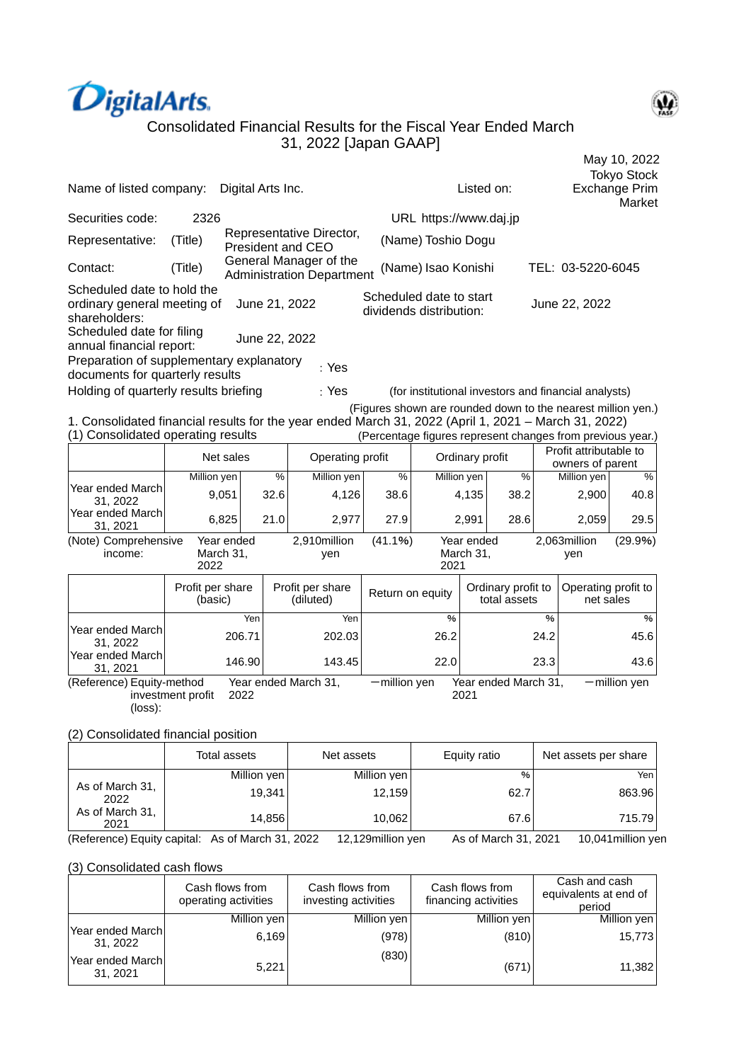



| Name of listed company:                                                                                                                    |                             | Digital Arts Inc.       |               |                                                            |                  |                                                    | Listed on:              |                                    |                      |                                                                                                                            | <b>Tokyo Stock</b><br><b>Exchange Prim</b><br>Market |  |
|--------------------------------------------------------------------------------------------------------------------------------------------|-----------------------------|-------------------------|---------------|------------------------------------------------------------|------------------|----------------------------------------------------|-------------------------|------------------------------------|----------------------|----------------------------------------------------------------------------------------------------------------------------|------------------------------------------------------|--|
| Securities code:                                                                                                                           | 2326                        |                         |               |                                                            |                  | URL https://www.daj.jp                             |                         |                                    |                      |                                                                                                                            |                                                      |  |
| Representative:                                                                                                                            | (Title)                     |                         |               | Representative Director,<br><b>President and CEO</b>       |                  | (Name) Toshio Dogu                                 |                         |                                    |                      |                                                                                                                            |                                                      |  |
| Contact:                                                                                                                                   | (Title)                     |                         |               | General Manager of the<br><b>Administration Department</b> |                  | (Name) Isao Konishi                                |                         |                                    |                      | TEL: 03-5220-6045                                                                                                          |                                                      |  |
| Scheduled date to hold the<br>ordinary general meeting of<br>shareholders:                                                                 |                             | June 21, 2022           |               |                                                            |                  | Scheduled date to start<br>dividends distribution: |                         |                                    |                      | June 22, 2022                                                                                                              |                                                      |  |
| Scheduled date for filing<br>annual financial report:                                                                                      |                             | June 22, 2022           |               |                                                            |                  |                                                    |                         |                                    |                      |                                                                                                                            |                                                      |  |
| Preparation of supplementary explanatory<br>documents for quarterly results                                                                |                             |                         |               | : Yes                                                      |                  |                                                    |                         |                                    |                      |                                                                                                                            |                                                      |  |
| Holding of quarterly results briefing                                                                                                      |                             |                         |               | : Yes                                                      |                  |                                                    |                         |                                    |                      | (for institutional investors and financial analysts)                                                                       |                                                      |  |
| 1. Consolidated financial results for the year ended March 31, 2022 (April 1, 2021 - March 31, 2022)<br>(1) Consolidated operating results |                             |                         |               |                                                            |                  |                                                    |                         |                                    |                      | (Figures shown are rounded down to the nearest million yen.)<br>(Percentage figures represent changes from previous year.) |                                                      |  |
|                                                                                                                                            |                             | Net sales               |               | Operating profit                                           |                  |                                                    | Ordinary profit         |                                    |                      | Profit attributable to<br>owners of parent                                                                                 |                                                      |  |
|                                                                                                                                            | Million yen                 |                         | $\frac{9}{6}$ | Million yen                                                | $\%$             | Million yen                                        |                         |                                    | $\frac{0}{0}$        | Million yen                                                                                                                | %                                                    |  |
| Year ended March<br>31.2022<br>Year ended March                                                                                            |                             | 9,051                   | 32.6          | 4,126                                                      | 38.6             |                                                    | 4,135                   | 38.2                               |                      | 2,900                                                                                                                      | 40.8                                                 |  |
| 31, 2021                                                                                                                                   |                             | 6,825                   | 21.0          | 2,977                                                      | 27.9             |                                                    | 2,991                   | 28.6                               |                      | 2,059                                                                                                                      | 29.5                                                 |  |
| (Note) Comprehensive<br>income:                                                                                                            | 2022                        | Year ended<br>March 31, |               | 2,910million<br>yen                                        | (41.1%)          | 2021                                               | Year ended<br>March 31, |                                    |                      | 2,063million<br>yen                                                                                                        | (29.9%)                                              |  |
|                                                                                                                                            | Profit per share<br>(basic) |                         |               | Profit per share<br>(diluted)                              | Return on equity |                                                    |                         | Ordinary profit to<br>total assets |                      | Operating profit to<br>net sales                                                                                           |                                                      |  |
| Year ended March<br>31, 2022                                                                                                               |                             | Yen<br>206.71           |               | Yen<br>202.03                                              |                  | $\%$<br>26.2                                       |                         |                                    | %<br>24.2            |                                                                                                                            | %<br>45.6                                            |  |
| Year ended March<br>31, 2021                                                                                                               |                             | 146.90                  |               | 143.45                                                     |                  | 22.0                                               |                         |                                    | 23.3                 |                                                                                                                            | 43.6                                                 |  |
| (Reference) Equity-method<br>(loss):                                                                                                       | investment profit           | 2022                    |               | Year ended March 31,                                       | $-$ million yen  |                                                    | 2021                    |                                    | Year ended March 31, |                                                                                                                            | $-$ million yen                                      |  |

## (2) Consolidated financial position

|                         | Total assets | Net assets  | Equity ratio | Net assets per share |
|-------------------------|--------------|-------------|--------------|----------------------|
|                         | Million yen  | Million yen | %            | Yen                  |
| As of March 31,<br>2022 | 19.341       | 12,159      | 62.7         | 863.96               |
| As of March 31,<br>2021 | 14,856       | 10,062      | 67.6         | 715.79               |

(Reference) Equity capital: As of March 31, 2022 12,129million yen As of March 31, 2021 10,041million yen

## (3) Consolidated cash flows

|                              | Cash flows from<br>operating activities | Cash flows from<br>investing activities | Cash flows from<br>financing activities | Cash and cash<br>equivalents at end of<br>period |
|------------------------------|-----------------------------------------|-----------------------------------------|-----------------------------------------|--------------------------------------------------|
|                              | Million yen                             | Million yen                             | Million yen                             | Million yen                                      |
| Year ended March<br>31, 2022 | 6,169                                   | (978)                                   | (810)                                   | 15,773                                           |
| Year ended March<br>31, 2021 | 5,221                                   | (830)                                   | (671)                                   | 11,382                                           |

64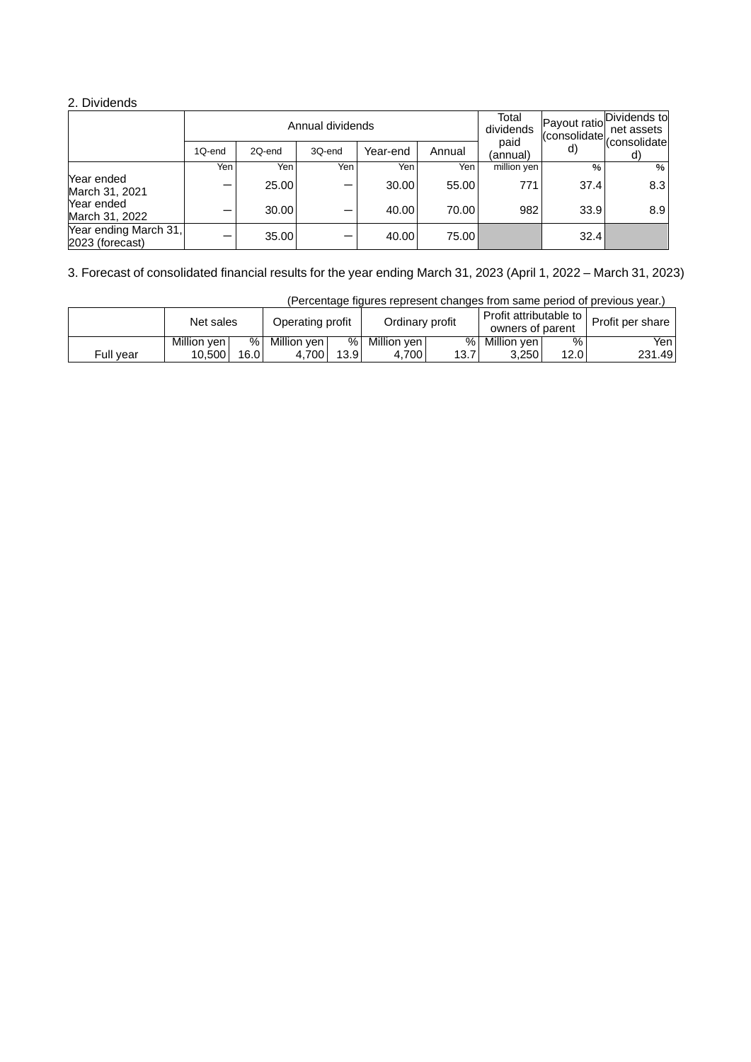## 2. Dividends

|                                          |        |        | Annual dividends |          |        | Total<br>dividends | Payout ratiol | Dividends to<br>net assets<br>(consolidate consolidate |
|------------------------------------------|--------|--------|------------------|----------|--------|--------------------|---------------|--------------------------------------------------------|
|                                          | 1Q-end | 2Q-end | 3Q-end           | Year-end | Annual | paid<br>(annual)   | d)            | d)                                                     |
|                                          | Yen    | Yen    | Yen <sub>1</sub> | Yen      | Yen    | million yen        | $\%$          | %                                                      |
| Year ended<br>March 31, 2021             |        | 25.00  |                  | 30.00    | 55.00  | 771                | 37.4          | 8.3                                                    |
| Year ended<br>March 31, 2022             |        | 30.00  |                  | 40.00    | 70.00  | 982                | 33.9          | 8.9                                                    |
| Year ending March 31,<br>2023 (forecast) |        | 35.00  |                  | 40.00    | 75.00  |                    | 32.4          |                                                        |

3. Forecast of consolidated financial results for the year ending March 31, 2023 (April 1, 2022 – March 31, 2023)

|           | Net sales     |      | Operating profit |      | Ordinary profit |      | Profit attributable to I<br>owners of parent |      | Profit per share |
|-----------|---------------|------|------------------|------|-----------------|------|----------------------------------------------|------|------------------|
|           | Million ven l | %    | Million ven      | %1   | Million ven     | %    | Million ven l                                | %    | Yen              |
| Full year | 10.500        | 16.0 | 4.700            | 13.9 | 4.700           | 13.7 | 3.250                                        | 12.0 | 231.49           |

(Percentage figures represent changes from same period of previous year.)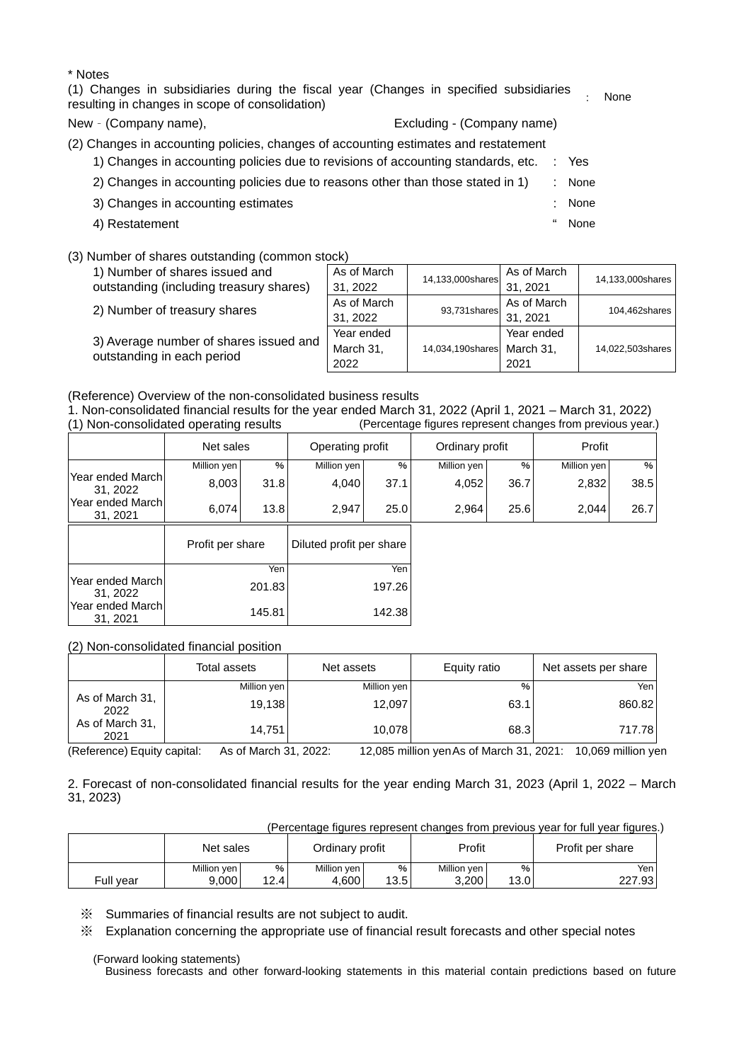| * Notes                                                                                                                                  |                            |      |      |
|------------------------------------------------------------------------------------------------------------------------------------------|----------------------------|------|------|
| (1) Changes in subsidiaries during the fiscal year (Changes in specified subsidiaries<br>resulting in changes in scope of consolidation) |                            |      | None |
| New - (Company name),                                                                                                                    | Excluding - (Company name) |      |      |
| (2) Changes in accounting policies, changes of accounting estimates and restatement                                                      |                            |      |      |
| 1) Changes in accounting policies due to revisions of accounting standards, etc.                                                         |                            | Yes  |      |
| 2) Changes in accounting policies due to reasons other than those stated in 1)                                                           | ٠                          | None |      |
| 3) Changes in accounting estimates                                                                                                       | t                          | None |      |
| 4) Restatement                                                                                                                           | "                          | None |      |

## (3) Number of shares outstanding (common stock)

| 1) Number of shares issued and<br>outstanding (including treasury shares) | As of March<br>31, 2022         | 14,133,000shares            | As of March<br>31.2021  | 14,133,000shares |
|---------------------------------------------------------------------------|---------------------------------|-----------------------------|-------------------------|------------------|
| 2) Number of treasury shares                                              | As of March<br>31, 2022         | 93,731 shares $\frac{1}{2}$ | As of March<br>31, 2021 | 104,462shares    |
| 3) Average number of shares issued and<br>outstanding in each period      | Year ended<br>March 31,<br>2022 | 14,034,190shares March 31,  | Year ended<br>2021      | 14,022,503shares |

(Reference) Overview of the non-consolidated business results

1. Non-consolidated financial results for the year ended March 31, 2022 (April 1, 2021 – March 31, 2022) (Percentage figures represent changes from previous year.)

|                              | Net sales        |        | Operating profit         |        | Ordinary profit |      | Profit      |      |
|------------------------------|------------------|--------|--------------------------|--------|-----------------|------|-------------|------|
|                              | Million yen      | $\%$   | Million yen              | %      | Million yen     | %    | Million yen | %    |
| Year ended March<br>31, 2022 | 8,003            | 31.8   | 4,040                    | 37.1   | 4,052           | 36.7 | 2,832       | 38.5 |
| Year ended March<br>31, 2021 | 6,074            | 13.8   | 2,947                    | 25.0   | 2,964           | 25.6 | 2,044       | 26.7 |
|                              | Profit per share |        | Diluted profit per share |        |                 |      |             |      |
|                              |                  | Yen    |                          | Yen    |                 |      |             |      |
| Year ended March<br>31, 2022 | 201.83           |        | 197.26                   |        |                 |      |             |      |
| Year ended March<br>31, 2021 |                  | 145.81 |                          | 142.38 |                 |      |             |      |

(2) Non-consolidated financial position

|                         | Total assets | Net assets  | Equity ratio | Net assets per share |
|-------------------------|--------------|-------------|--------------|----------------------|
|                         | Million yen  | Million yen | %            | Yen                  |
| As of March 31,<br>2022 | 19,138       | 12,097      | 63.1         | 860.82               |
| As of March 31,<br>2021 | 14.751       | 10.078      | 68.3         | 717.78               |

(Reference) Equity capital: As of March 31, 2022: 12,085 million yenAs of March 31, 2021: 10,069 million yen

2. Forecast of non-consolidated financial results for the year ending March 31, 2023 (April 1, 2022 – March 31, 2023)

(Percentage figures represent changes from previous year for full year figures.)

|           | Net sales   |                   | Ordinary profit |      | Profit      |      | Profit per share |
|-----------|-------------|-------------------|-----------------|------|-------------|------|------------------|
|           | Million yen | %                 | Million yen     | %    | Million yen | %    | Yen .            |
| Full vear | 9.000       | 12.4 <sub>1</sub> | 4.600           | 13.5 | 3,200       | 13.0 | 227.93           |

※ Summaries of financial results are not subject to audit.

※ Explanation concerning the appropriate use of financial result forecasts and other special notes

(Forward looking statements)

Business forecasts and other forward-looking statements in this material contain predictions based on future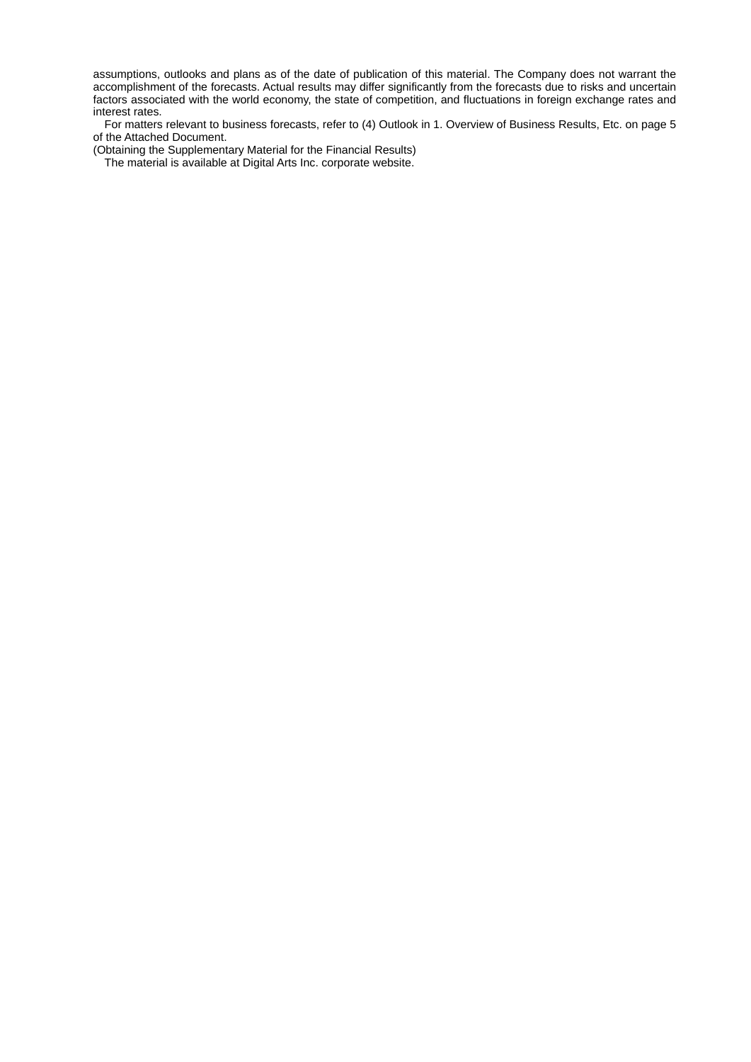assumptions, outlooks and plans as of the date of publication of this material. The Company does not warrant the accomplishment of the forecasts. Actual results may differ significantly from the forecasts due to risks and uncertain factors associated with the world economy, the state of competition, and fluctuations in foreign exchange rates and interest rates.

For matters relevant to business forecasts, refer to (4) Outlook in 1. Overview of Business Results, Etc. on page 5 of the Attached Document.

(Obtaining the Supplementary Material for the Financial Results)

The material is available at Digital Arts Inc. corporate website.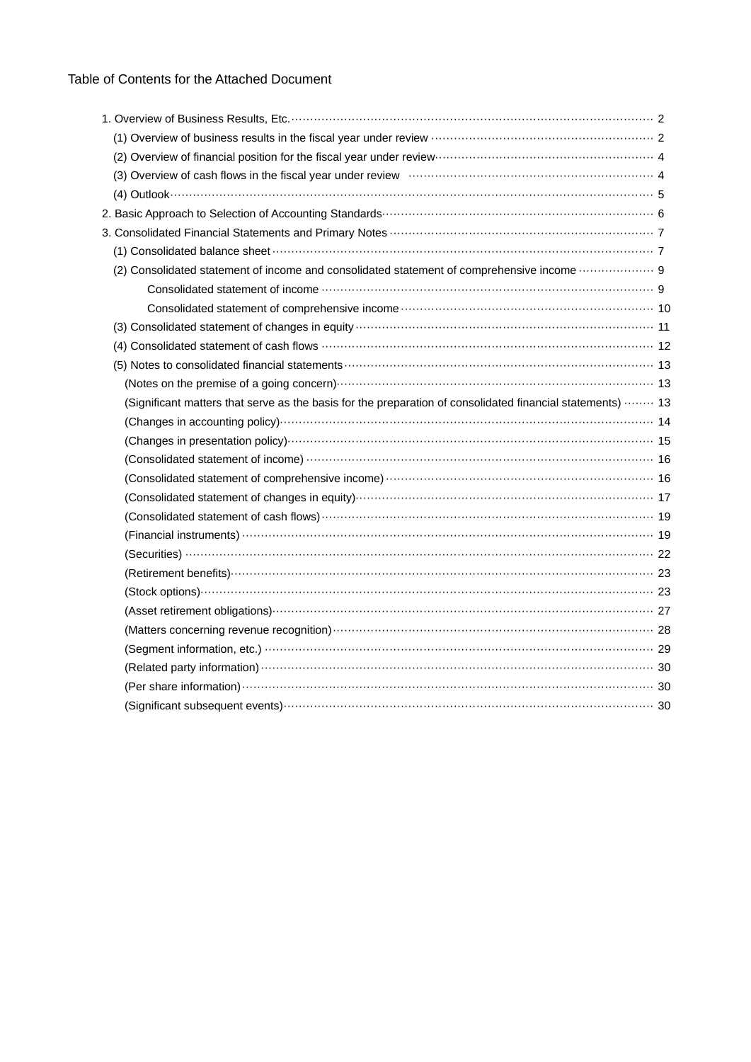| (2) Overview of financial position for the fiscal year under review manufacture material and 4             |  |
|------------------------------------------------------------------------------------------------------------|--|
|                                                                                                            |  |
|                                                                                                            |  |
|                                                                                                            |  |
|                                                                                                            |  |
|                                                                                                            |  |
| (2) Consolidated statement of income and consolidated statement of comprehensive income  9                 |  |
|                                                                                                            |  |
|                                                                                                            |  |
|                                                                                                            |  |
|                                                                                                            |  |
|                                                                                                            |  |
|                                                                                                            |  |
| (Significant matters that serve as the basis for the preparation of consolidated financial statements)  13 |  |
|                                                                                                            |  |
|                                                                                                            |  |
|                                                                                                            |  |
|                                                                                                            |  |
|                                                                                                            |  |
|                                                                                                            |  |
|                                                                                                            |  |
|                                                                                                            |  |
|                                                                                                            |  |
|                                                                                                            |  |
|                                                                                                            |  |
|                                                                                                            |  |
|                                                                                                            |  |
|                                                                                                            |  |
|                                                                                                            |  |
|                                                                                                            |  |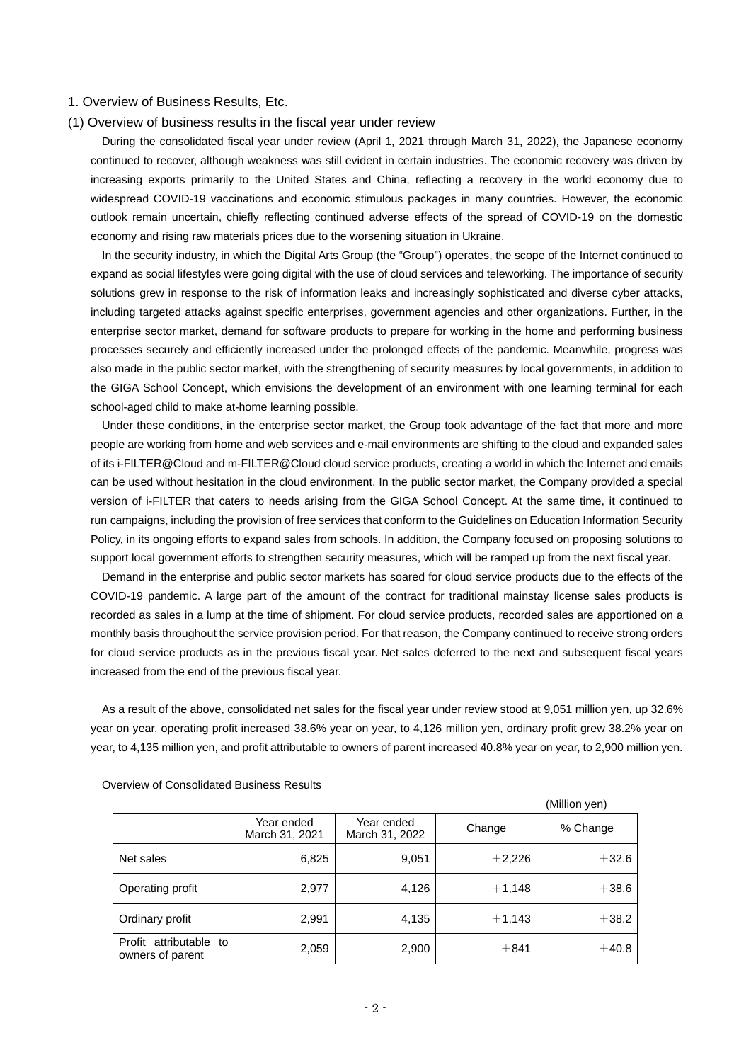### 1. Overview of Business Results, Etc.

#### (1) Overview of business results in the fiscal year under review

During the consolidated fiscal year under review (April 1, 2021 through March 31, 2022), the Japanese economy continued to recover, although weakness was still evident in certain industries. The economic recovery was driven by increasing exports primarily to the United States and China, reflecting a recovery in the world economy due to widespread COVID-19 vaccinations and economic stimulous packages in many countries. However, the economic outlook remain uncertain, chiefly reflecting continued adverse effects of the spread of COVID-19 on the domestic economy and rising raw materials prices due to the worsening situation in Ukraine.

In the security industry, in which the Digital Arts Group (the "Group") operates, the scope of the Internet continued to expand as social lifestyles were going digital with the use of cloud services and teleworking. The importance of security solutions grew in response to the risk of information leaks and increasingly sophisticated and diverse cyber attacks, including targeted attacks against specific enterprises, government agencies and other organizations. Further, in the enterprise sector market, demand for software products to prepare for working in the home and performing business processes securely and efficiently increased under the prolonged effects of the pandemic. Meanwhile, progress was also made in the public sector market, with the strengthening of security measures by local governments, in addition to the GIGA School Concept, which envisions the development of an environment with one learning terminal for each school-aged child to make at-home learning possible.

Under these conditions, in the enterprise sector market, the Group took advantage of the fact that more and more people are working from home and web services and e-mail environments are shifting to the cloud and expanded sales of its i-FILTER@Cloud and m-FILTER@Cloud cloud service products, creating a world in which the Internet and emails can be used without hesitation in the cloud environment. In the public sector market, the Company provided a special version of i-FILTER that caters to needs arising from the GIGA School Concept. At the same time, it continued to run campaigns, including the provision of free services that conform to the Guidelines on Education Information Security Policy, in its ongoing efforts to expand sales from schools. In addition, the Company focused on proposing solutions to support local government efforts to strengthen security measures, which will be ramped up from the next fiscal year.

Demand in the enterprise and public sector markets has soared for cloud service products due to the effects of the COVID-19 pandemic. A large part of the amount of the contract for traditional mainstay license sales products is recorded as sales in a lump at the time of shipment. For cloud service products, recorded sales are apportioned on a monthly basis throughout the service provision period. For that reason, the Company continued to receive strong orders for cloud service products as in the previous fiscal year. Net sales deferred to the next and subsequent fiscal years increased from the end of the previous fiscal year.

As a result of the above, consolidated net sales for the fiscal year under review stood at 9,051 million yen, up 32.6% year on year, operating profit increased 38.6% year on year, to 4,126 million yen, ordinary profit grew 38.2% year on year, to 4,135 million yen, and profit attributable to owners of parent increased 40.8% year on year, to 2,900 million yen.

|                                            |                              |                              |          | (Million yen) |
|--------------------------------------------|------------------------------|------------------------------|----------|---------------|
|                                            | Year ended<br>March 31, 2021 | Year ended<br>March 31, 2022 | Change   | % Change      |
| Net sales                                  | 6,825                        | 9,051                        | $+2,226$ | $+32.6$       |
| Operating profit                           | 2,977                        | 4,126                        | $+1,148$ | $+38.6$       |
| Ordinary profit                            | 2,991                        | 4,135                        | $+1,143$ | $+38.2$       |
| Profit attributable to<br>owners of parent | 2,059                        | 2,900                        | $+841$   | $+40.8$       |

Overview of Consolidated Business Results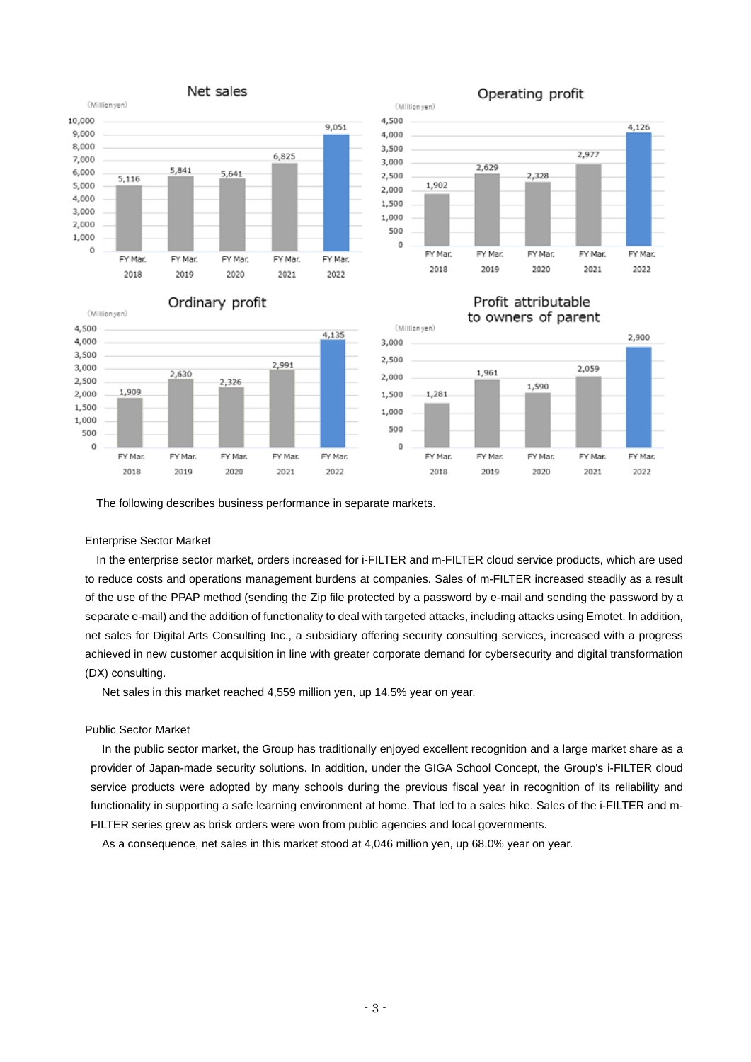

#### Ordinary profit (Millionyen) 4,500 4,135 4,000 3,500 2,991 3,000 2,630 2,500 2,326 1,909 2,000 1,500 1,000 500  $\circ$ FY Mar FY Mar. FY Mar. FY Mar. FY Mar. 2018 2019 2020 2021 2022



# Operating profit

# Profit attributable



The following describes business performance in separate markets.

## Enterprise Sector Market

In the enterprise sector market, orders increased for i-FILTER and m-FILTER cloud service products, which are used to reduce costs and operations management burdens at companies. Sales of m-FILTER increased steadily as a result of the use of the PPAP method (sending the Zip file protected by a password by e-mail and sending the password by a separate e-mail) and the addition of functionality to deal with targeted attacks, including attacks using Emotet. In addition, net sales for Digital Arts Consulting Inc., a subsidiary offering security consulting services, increased with a progress achieved in new customer acquisition in line with greater corporate demand for cybersecurity and digital transformation (DX) consulting.

Net sales in this market reached 4,559 million yen, up 14.5% year on year.

## Public Sector Market

In the public sector market, the Group has traditionally enjoyed excellent recognition and a large market share as a provider of Japan-made security solutions. In addition, under the GIGA School Concept, the Group's i-FILTER cloud service products were adopted by many schools during the previous fiscal year in recognition of its reliability and functionality in supporting a safe learning environment at home. That led to a sales hike. Sales of the i-FILTER and m-FILTER series grew as brisk orders were won from public agencies and local governments.

As a consequence, net sales in this market stood at 4,046 million yen, up 68.0% year on year.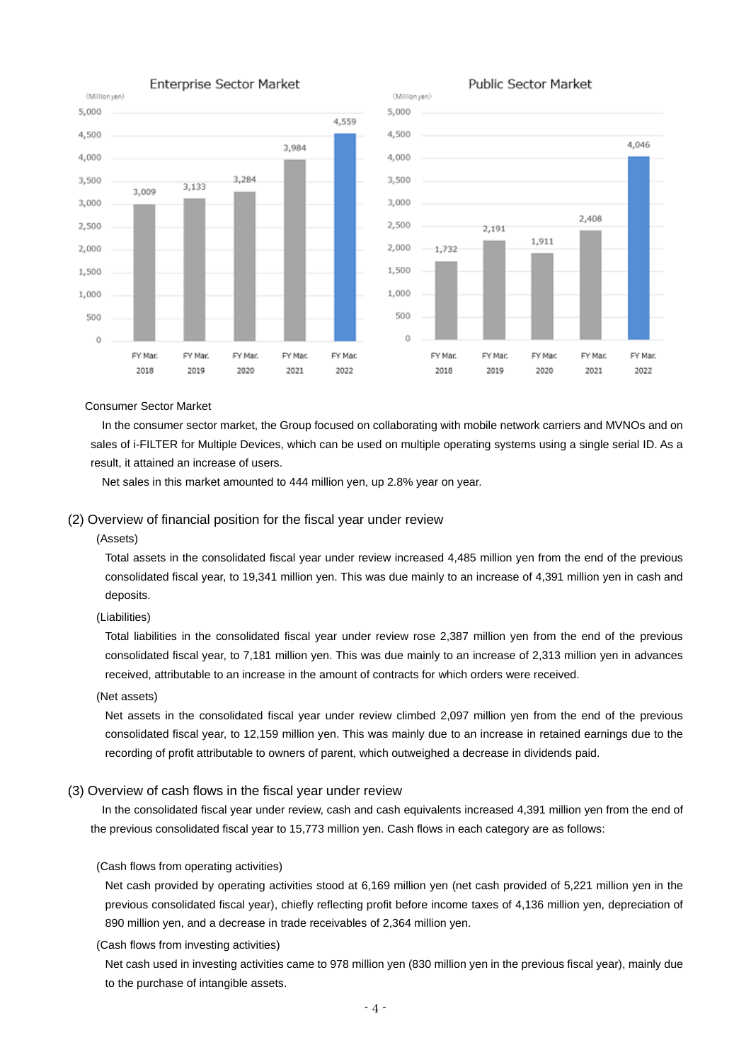



2020

2021

2022

### Consumer Sector Market

In the consumer sector market, the Group focused on collaborating with mobile network carriers and MVNOs and on sales of i-FILTER for Multiple Devices, which can be used on multiple operating systems using a single serial ID. As a result, it attained an increase of users.

2018

2019

Net sales in this market amounted to 444 million yen, up 2.8% year on year.

#### (2) Overview of financial position for the fiscal year under review

#### (Assets)

Total assets in the consolidated fiscal year under review increased 4,485 million yen from the end of the previous consolidated fiscal year, to 19,341 million yen. This was due mainly to an increase of 4,391 million yen in cash and deposits.

## (Liabilities)

Total liabilities in the consolidated fiscal year under review rose 2,387 million yen from the end of the previous consolidated fiscal year, to 7,181 million yen. This was due mainly to an increase of 2,313 million yen in advances received, attributable to an increase in the amount of contracts for which orders were received.

#### (Net assets)

Net assets in the consolidated fiscal year under review climbed 2,097 million yen from the end of the previous consolidated fiscal year, to 12,159 million yen. This was mainly due to an increase in retained earnings due to the recording of profit attributable to owners of parent, which outweighed a decrease in dividends paid.

#### (3) Overview of cash flows in the fiscal year under review

In the consolidated fiscal year under review, cash and cash equivalents increased 4,391 million yen from the end of the previous consolidated fiscal year to 15,773 million yen. Cash flows in each category are as follows:

#### (Cash flows from operating activities)

Net cash provided by operating activities stood at 6,169 million yen (net cash provided of 5,221 million yen in the previous consolidated fiscal year), chiefly reflecting profit before income taxes of 4,136 million yen, depreciation of 890 million yen, and a decrease in trade receivables of 2,364 million yen.

## (Cash flows from investing activities)

Net cash used in investing activities came to 978 million yen (830 million yen in the previous fiscal year), mainly due to the purchase of intangible assets.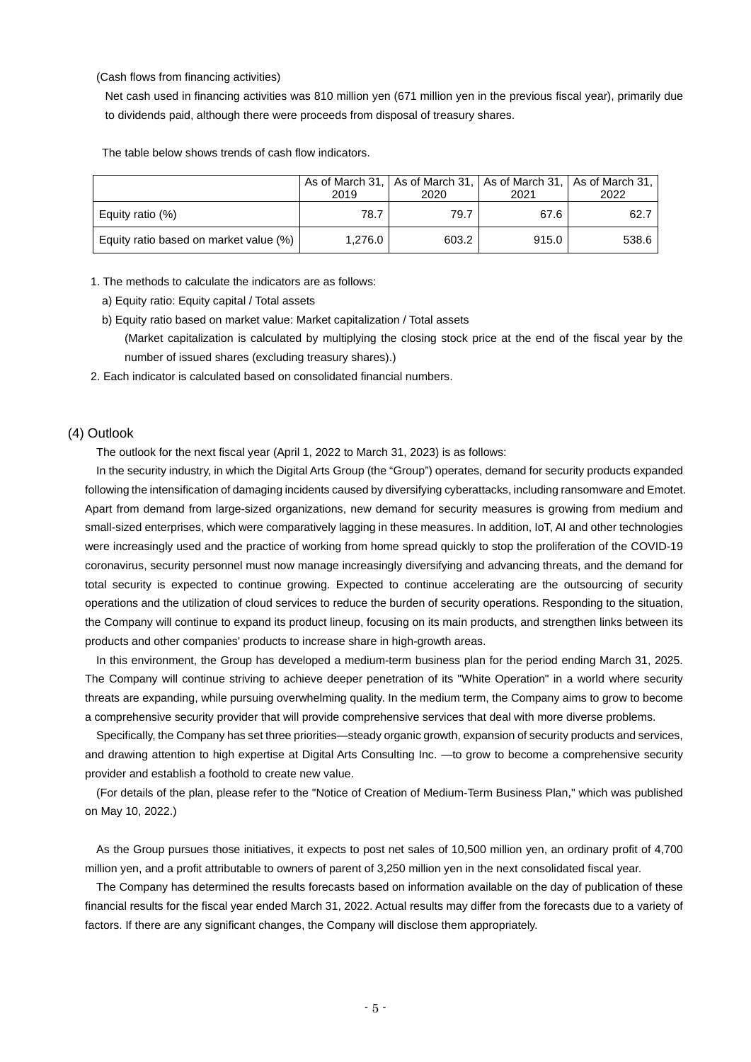(Cash flows from financing activities)

Net cash used in financing activities was 810 million yen (671 million yen in the previous fiscal year), primarily due to dividends paid, although there were proceeds from disposal of treasury shares.

The table below shows trends of cash flow indicators.

|                                        | 2019    | As of March 31,   As of March 31,   As of March 31,   As of March 31,<br>2020 | 2021  | 2022  |
|----------------------------------------|---------|-------------------------------------------------------------------------------|-------|-------|
| Equity ratio (%)                       | 78.7    | 79.7                                                                          | 67.6  | 62.7  |
| Equity ratio based on market value (%) | 1.276.0 | 603.2                                                                         | 915.0 | 538.6 |

1. The methods to calculate the indicators are as follows:

a) Equity ratio: Equity capital / Total assets

- b) Equity ratio based on market value: Market capitalization / Total assets (Market capitalization is calculated by multiplying the closing stock price at the end of the fiscal year by the number of issued shares (excluding treasury shares).)
- 2. Each indicator is calculated based on consolidated financial numbers.

### (4) Outlook

The outlook for the next fiscal year (April 1, 2022 to March 31, 2023) is as follows:

In the security industry, in which the Digital Arts Group (the "Group") operates, demand for security products expanded following the intensification of damaging incidents caused by diversifying cyberattacks, including ransomware and Emotet. Apart from demand from large-sized organizations, new demand for security measures is growing from medium and small-sized enterprises, which were comparatively lagging in these measures. In addition, IoT, AI and other technologies were increasingly used and the practice of working from home spread quickly to stop the proliferation of the COVID-19 coronavirus, security personnel must now manage increasingly diversifying and advancing threats, and the demand for total security is expected to continue growing. Expected to continue accelerating are the outsourcing of security operations and the utilization of cloud services to reduce the burden of security operations. Responding to the situation, the Company will continue to expand its product lineup, focusing on its main products, and strengthen links between its products and other companies' products to increase share in high-growth areas.

In this environment, the Group has developed a medium-term business plan for the period ending March 31, 2025. The Company will continue striving to achieve deeper penetration of its "White Operation" in a world where security threats are expanding, while pursuing overwhelming quality. In the medium term, the Company aims to grow to become a comprehensive security provider that will provide comprehensive services that deal with more diverse problems.

Specifically, the Company has set three priorities—steady organic growth, expansion of security products and services, and drawing attention to high expertise at Digital Arts Consulting Inc. —to grow to become a comprehensive security provider and establish a foothold to create new value.

(For details of the plan, please refer to the "Notice of Creation of Medium-Term Business Plan," which was published on May 10, 2022.)

As the Group pursues those initiatives, it expects to post net sales of 10,500 million yen, an ordinary profit of 4,700 million yen, and a profit attributable to owners of parent of 3,250 million yen in the next consolidated fiscal year.

The Company has determined the results forecasts based on information available on the day of publication of these financial results for the fiscal year ended March 31, 2022. Actual results may differ from the forecasts due to a variety of factors. If there are any significant changes, the Company will disclose them appropriately.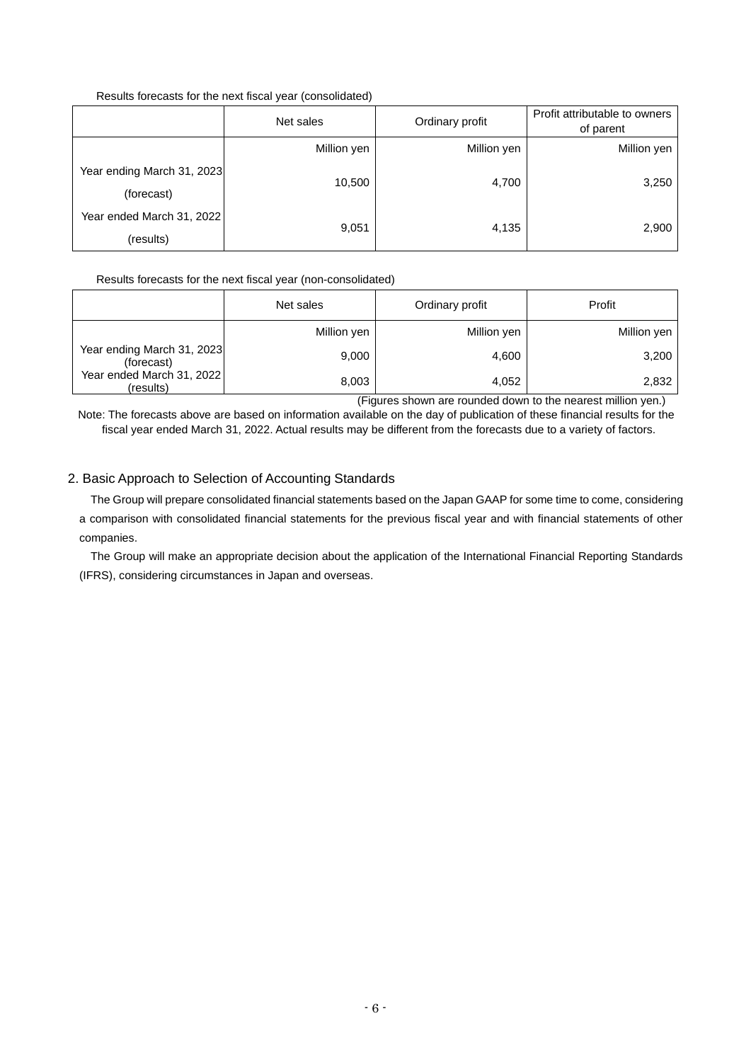## Results forecasts for the next fiscal year (consolidated)

|                                          | Net sales   | Ordinary profit | Profit attributable to owners<br>of parent |
|------------------------------------------|-------------|-----------------|--------------------------------------------|
|                                          | Million yen | Million yen     | Million yen                                |
| Year ending March 31, 2023<br>(forecast) | 10,500      | 4,700           | 3,250                                      |
| Year ended March 31, 2022<br>(results)   | 9,051       | 4,135           | 2,900                                      |

## Results forecasts for the next fiscal year (non-consolidated)

|                                          | Net sales   | Ordinary profit | Profit      |  |
|------------------------------------------|-------------|-----------------|-------------|--|
|                                          | Million yen | Million yen     | Million yen |  |
| Year ending March 31, 2023<br>(forecast) | 9,000       | 4,600           | 3,200       |  |
| Year ended March 31, 2022<br>(results)   | 8,003       | 4,052           | 2,832       |  |

(Figures shown are rounded down to the nearest million yen.)

Note: The forecasts above are based on information available on the day of publication of these financial results for the fiscal year ended March 31, 2022. Actual results may be different from the forecasts due to a variety of factors.

## 2. Basic Approach to Selection of Accounting Standards

The Group will prepare consolidated financial statements based on the Japan GAAP for some time to come, considering a comparison with consolidated financial statements for the previous fiscal year and with financial statements of other companies.

The Group will make an appropriate decision about the application of the International Financial Reporting Standards (IFRS), considering circumstances in Japan and overseas.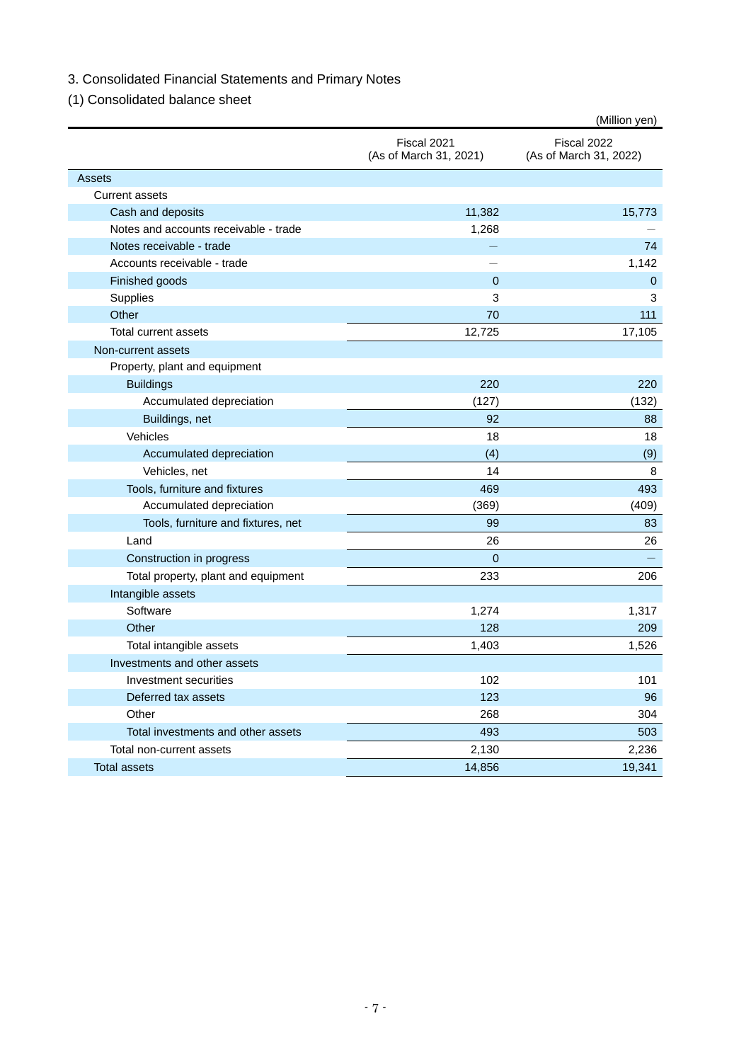# 3. Consolidated Financial Statements and Primary Notes

# (1) Consolidated balance sheet

|                                       |                                       | (Million yen)                         |
|---------------------------------------|---------------------------------------|---------------------------------------|
|                                       | Fiscal 2021<br>(As of March 31, 2021) | Fiscal 2022<br>(As of March 31, 2022) |
| <b>Assets</b>                         |                                       |                                       |
| <b>Current assets</b>                 |                                       |                                       |
| Cash and deposits                     | 11,382                                | 15,773                                |
| Notes and accounts receivable - trade | 1,268                                 |                                       |
| Notes receivable - trade              |                                       | 74                                    |
| Accounts receivable - trade           |                                       | 1,142                                 |
| Finished goods                        | $\Omega$                              | 0                                     |
| Supplies                              | 3                                     | 3                                     |
| Other                                 | 70                                    | 111                                   |
| <b>Total current assets</b>           | 12,725                                | 17,105                                |
| Non-current assets                    |                                       |                                       |
| Property, plant and equipment         |                                       |                                       |
| <b>Buildings</b>                      | 220                                   | 220                                   |
| Accumulated depreciation              | (127)                                 | (132)                                 |
| Buildings, net                        | 92                                    | 88                                    |
| Vehicles                              | 18                                    | 18                                    |
| Accumulated depreciation              | (4)                                   | (9)                                   |
| Vehicles, net                         | 14                                    | 8                                     |
| Tools, furniture and fixtures         | 469                                   | 493                                   |
| Accumulated depreciation              | (369)                                 | (409)                                 |
| Tools, furniture and fixtures, net    | 99                                    | 83                                    |
| Land                                  | 26                                    | 26                                    |
| Construction in progress              | $\mathbf{0}$                          |                                       |
| Total property, plant and equipment   | 233                                   | 206                                   |
| Intangible assets                     |                                       |                                       |
| Software                              | 1,274                                 | 1,317                                 |
| Other                                 | 128                                   | 209                                   |
| Total intangible assets               | 1,403                                 | 1,526                                 |
| Investments and other assets          |                                       |                                       |
| Investment securities                 | 102                                   | 101                                   |
| Deferred tax assets                   | 123                                   | 96                                    |
| Other                                 | 268                                   | 304                                   |
| Total investments and other assets    | 493                                   | 503                                   |
| Total non-current assets              | 2,130                                 | 2,236                                 |
| <b>Total assets</b>                   | 14,856                                | 19,341                                |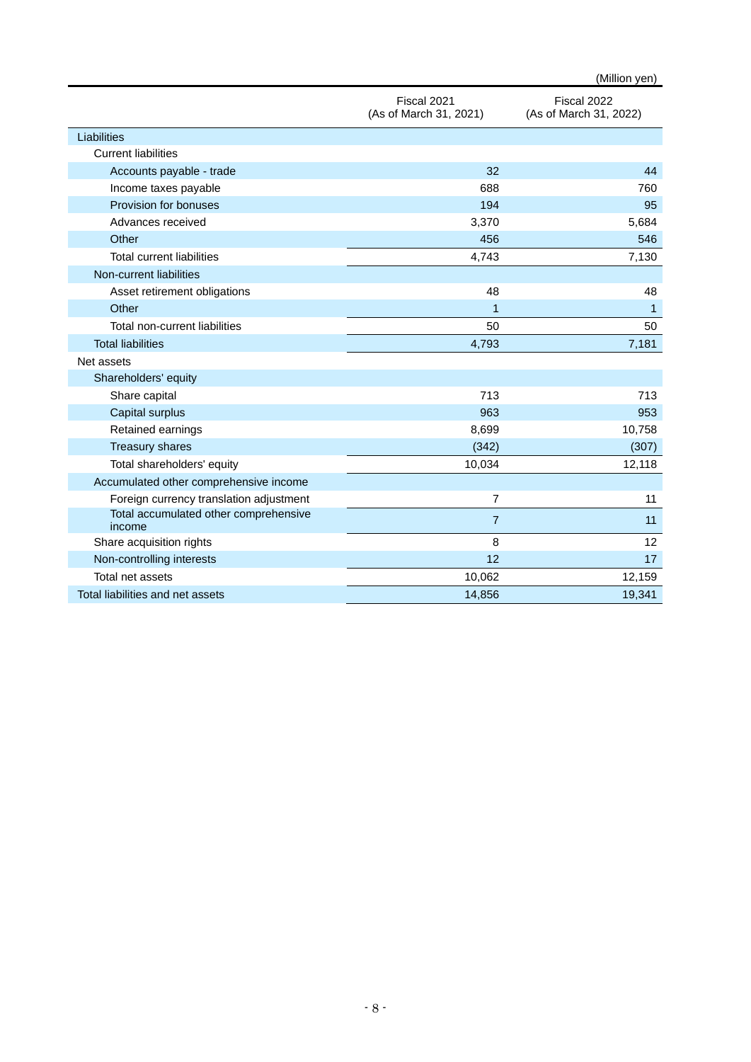|                                                 |                                       | (Million yen)                         |
|-------------------------------------------------|---------------------------------------|---------------------------------------|
|                                                 | Fiscal 2021<br>(As of March 31, 2021) | Fiscal 2022<br>(As of March 31, 2022) |
| Liabilities                                     |                                       |                                       |
| <b>Current liabilities</b>                      |                                       |                                       |
| Accounts payable - trade                        | 32                                    | 44                                    |
| Income taxes payable                            | 688                                   | 760                                   |
| Provision for bonuses                           | 194                                   | 95                                    |
| Advances received                               | 3,370                                 | 5,684                                 |
| Other                                           | 456                                   | 546                                   |
| <b>Total current liabilities</b>                | 4,743                                 | 7,130                                 |
| Non-current liabilities                         |                                       |                                       |
| Asset retirement obligations                    | 48                                    | 48                                    |
| Other                                           | $\overline{1}$                        | $\mathbf{1}$                          |
| Total non-current liabilities                   | 50                                    | 50                                    |
| <b>Total liabilities</b>                        | 4,793                                 | 7,181                                 |
| Net assets                                      |                                       |                                       |
| Shareholders' equity                            |                                       |                                       |
| Share capital                                   | 713                                   | 713                                   |
| Capital surplus                                 | 963                                   | 953                                   |
| Retained earnings                               | 8,699                                 | 10,758                                |
| <b>Treasury shares</b>                          | (342)                                 | (307)                                 |
| Total shareholders' equity                      | 10,034                                | 12,118                                |
| Accumulated other comprehensive income          |                                       |                                       |
| Foreign currency translation adjustment         | $\overline{7}$                        | 11                                    |
| Total accumulated other comprehensive<br>income | $\overline{7}$                        | 11                                    |
| Share acquisition rights                        | 8                                     | 12                                    |
| Non-controlling interests                       | 12                                    | 17                                    |
| Total net assets                                | 10,062                                | 12,159                                |
| Total liabilities and net assets                | 14,856                                | 19,341                                |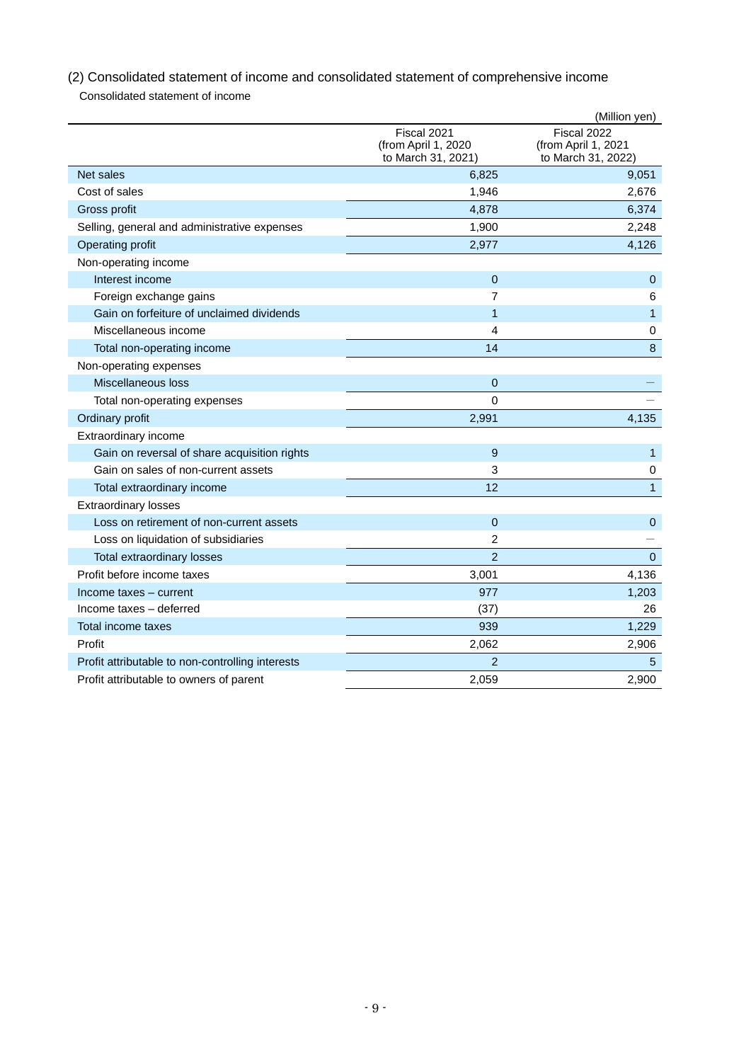(2) Consolidated statement of income and consolidated statement of comprehensive income Consolidated statement of income

|                                                  |                                                          | (Million yen)                                            |
|--------------------------------------------------|----------------------------------------------------------|----------------------------------------------------------|
|                                                  | Fiscal 2021<br>(from April 1, 2020<br>to March 31, 2021) | Fiscal 2022<br>(from April 1, 2021<br>to March 31, 2022) |
| Net sales                                        | 6,825                                                    | 9,051                                                    |
| Cost of sales                                    | 1,946                                                    | 2,676                                                    |
| Gross profit                                     | 4,878                                                    | 6,374                                                    |
| Selling, general and administrative expenses     | 1,900                                                    | 2,248                                                    |
| Operating profit                                 | 2,977                                                    | 4,126                                                    |
| Non-operating income                             |                                                          |                                                          |
| Interest income                                  | $\Omega$                                                 | $\mathbf{0}$                                             |
| Foreign exchange gains                           | $\overline{7}$                                           | 6                                                        |
| Gain on forfeiture of unclaimed dividends        | 1                                                        | $\mathbf{1}$                                             |
| Miscellaneous income                             | 4                                                        | $\pmb{0}$                                                |
| Total non-operating income                       | 14                                                       | 8                                                        |
| Non-operating expenses                           |                                                          |                                                          |
| Miscellaneous loss                               | $\mathbf 0$                                              |                                                          |
| Total non-operating expenses                     | 0                                                        |                                                          |
| Ordinary profit                                  | 2,991                                                    | 4,135                                                    |
| Extraordinary income                             |                                                          |                                                          |
| Gain on reversal of share acquisition rights     | 9                                                        | $\mathbf{1}$                                             |
| Gain on sales of non-current assets              | 3                                                        | 0                                                        |
| Total extraordinary income                       | 12                                                       | $\mathbf{1}$                                             |
| <b>Extraordinary losses</b>                      |                                                          |                                                          |
| Loss on retirement of non-current assets         | $\overline{0}$                                           | $\mathbf{0}$                                             |
| Loss on liquidation of subsidiaries              | $\overline{2}$                                           |                                                          |
| Total extraordinary losses                       | $\overline{2}$                                           | $\mathbf 0$                                              |
| Profit before income taxes                       | 3,001                                                    | 4,136                                                    |
| Income taxes - current                           | 977                                                      | 1,203                                                    |
| Income taxes - deferred                          | (37)                                                     | 26                                                       |
| Total income taxes                               | 939                                                      | 1,229                                                    |
| Profit                                           | 2,062                                                    | 2,906                                                    |
| Profit attributable to non-controlling interests | $\overline{2}$                                           | 5                                                        |
| Profit attributable to owners of parent          | 2.059                                                    | 2.900                                                    |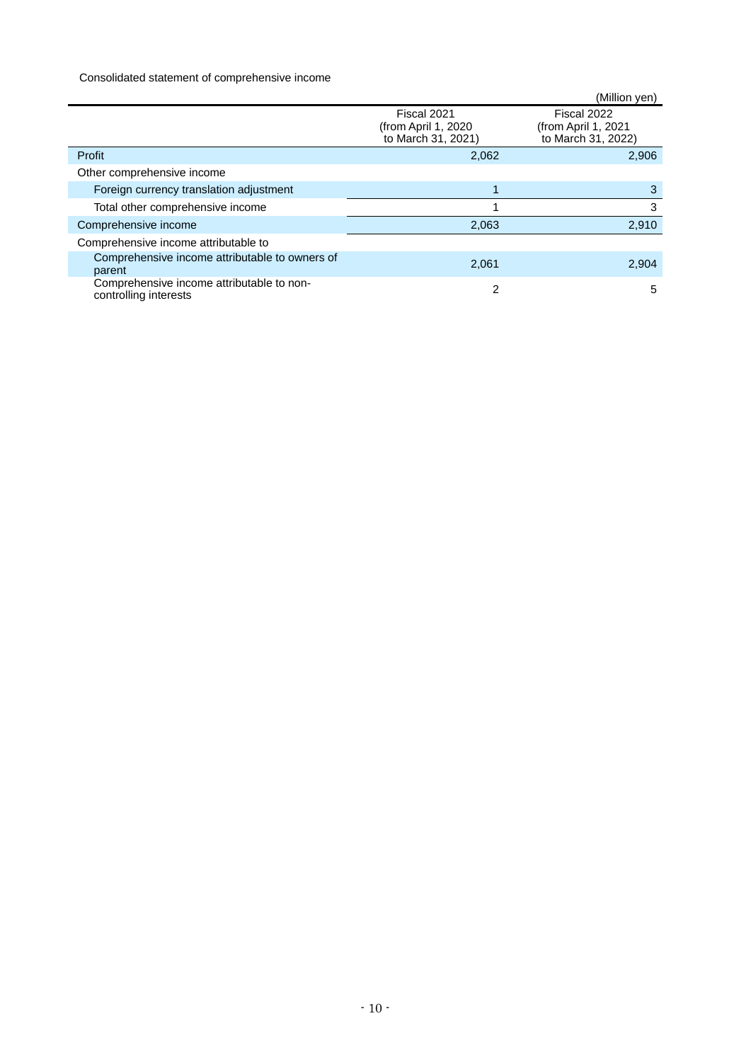## Consolidated statement of comprehensive income

|                                                                    |                                                           | (Million yen)                                             |
|--------------------------------------------------------------------|-----------------------------------------------------------|-----------------------------------------------------------|
|                                                                    | Fiscal 2021<br>(from April 1, 2020)<br>to March 31, 2021) | Fiscal 2022<br>(from April 1, 2021)<br>to March 31, 2022) |
| Profit                                                             | 2,062                                                     | 2,906                                                     |
| Other comprehensive income                                         |                                                           |                                                           |
| Foreign currency translation adjustment                            |                                                           | 3                                                         |
| Total other comprehensive income                                   |                                                           | 3                                                         |
| Comprehensive income                                               | 2,063                                                     | 2,910                                                     |
| Comprehensive income attributable to                               |                                                           |                                                           |
| Comprehensive income attributable to owners of<br>parent           | 2,061                                                     | 2,904                                                     |
| Comprehensive income attributable to non-<br>controlling interests | 2                                                         | 5                                                         |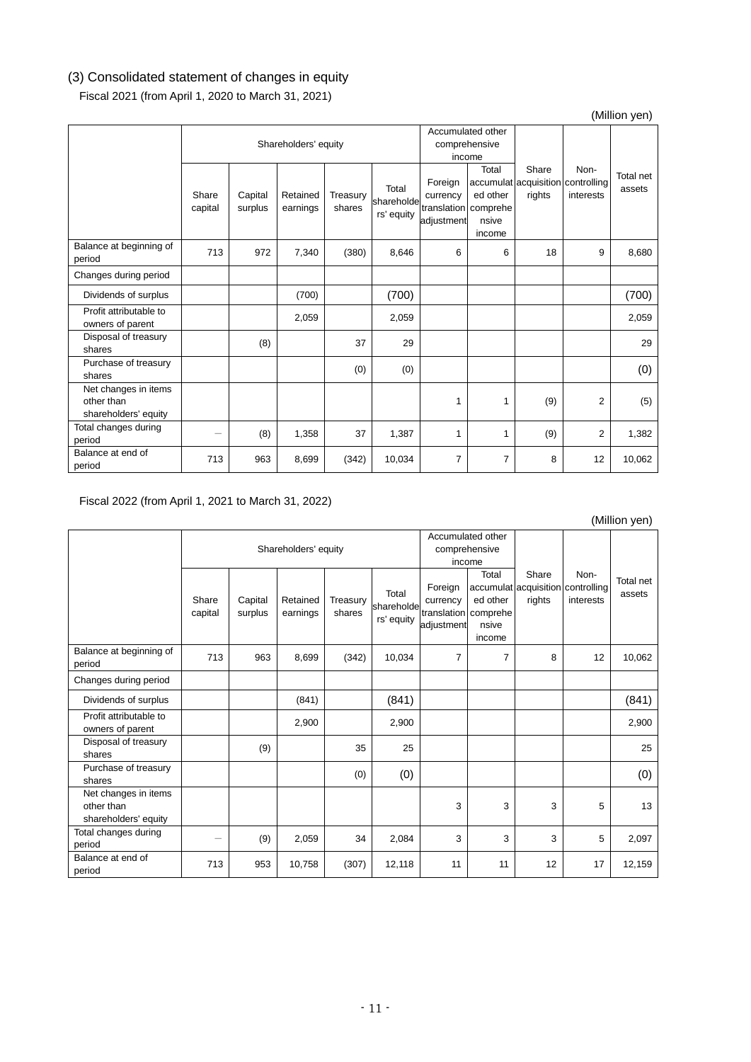# (3) Consolidated statement of changes in equity

Fiscal 2021 (from April 1, 2020 to March 31, 2021)

## (Million yen)

|                                                            |                  | Accumulated other<br>Shareholders' equity<br>comprehensive<br>income |                      |                    |                                   |                                   |                                                              |                 |                                                        |                     |
|------------------------------------------------------------|------------------|----------------------------------------------------------------------|----------------------|--------------------|-----------------------------------|-----------------------------------|--------------------------------------------------------------|-----------------|--------------------------------------------------------|---------------------|
|                                                            | Share<br>capital | Capital<br>surplus                                                   | Retained<br>earnings | Treasury<br>shares | Total<br>shareholde<br>rs' equity | Foreign<br>currency<br>adjustment | Total<br>ed other<br>translation comprehe<br>nsive<br>income | Share<br>rights | Non-<br>accumulat acquisition controlling<br>interests | Total net<br>assets |
| Balance at beginning of<br>period                          | 713              | 972                                                                  | 7,340                | (380)              | 8,646                             | 6                                 | 6                                                            | 18              | 9                                                      | 8,680               |
| Changes during period                                      |                  |                                                                      |                      |                    |                                   |                                   |                                                              |                 |                                                        |                     |
| Dividends of surplus                                       |                  |                                                                      | (700)                |                    | (700)                             |                                   |                                                              |                 |                                                        | (700)               |
| Profit attributable to<br>owners of parent                 |                  |                                                                      | 2,059                |                    | 2,059                             |                                   |                                                              |                 |                                                        | 2,059               |
| Disposal of treasury<br>shares                             |                  | (8)                                                                  |                      | 37                 | 29                                |                                   |                                                              |                 |                                                        | 29                  |
| Purchase of treasury<br>shares                             |                  |                                                                      |                      | (0)                | (0)                               |                                   |                                                              |                 |                                                        | (0)                 |
| Net changes in items<br>other than<br>shareholders' equity |                  |                                                                      |                      |                    |                                   | 1                                 | 1                                                            | (9)             | 2                                                      | (5)                 |
| Total changes during<br>period                             | -                | (8)                                                                  | 1,358                | 37                 | 1,387                             | 1                                 | 1                                                            | (9)             | 2                                                      | 1,382               |
| Balance at end of<br>period                                | 713              | 963                                                                  | 8,699                | (342)              | 10,034                            | 7                                 | 7                                                            | 8               | 12                                                     | 10,062              |

Fiscal 2022 (from April 1, 2021 to March 31, 2022)

|                                                            |                  |                      |                      |                    |                                   |                                              |                                                              |                 |                                                        | (Million yen)       |
|------------------------------------------------------------|------------------|----------------------|----------------------|--------------------|-----------------------------------|----------------------------------------------|--------------------------------------------------------------|-----------------|--------------------------------------------------------|---------------------|
|                                                            |                  | Shareholders' equity |                      |                    |                                   | Accumulated other<br>comprehensive<br>income |                                                              |                 |                                                        |                     |
|                                                            | Share<br>capital | Capital<br>surplus   | Retained<br>earnings | Treasury<br>shares | Total<br>shareholde<br>rs' equity | Foreign<br>currency<br>adjustment            | Total<br>ed other<br>translation comprehe<br>nsive<br>income | Share<br>rights | Non-<br>accumulat acquisition controlling<br>interests | Total net<br>assets |
| Balance at beginning of<br>period                          | 713              | 963                  | 8,699                | (342)              | 10,034                            | 7                                            | 7                                                            | 8               | 12                                                     | 10,062              |
| Changes during period                                      |                  |                      |                      |                    |                                   |                                              |                                                              |                 |                                                        |                     |
| Dividends of surplus                                       |                  |                      | (841)                |                    | (841)                             |                                              |                                                              |                 |                                                        | (841)               |
| Profit attributable to<br>owners of parent                 |                  |                      | 2,900                |                    | 2,900                             |                                              |                                                              |                 |                                                        | 2,900               |
| Disposal of treasury<br>shares                             |                  | (9)                  |                      | 35                 | 25                                |                                              |                                                              |                 |                                                        | 25                  |
| Purchase of treasury<br>shares                             |                  |                      |                      | (0)                | (0)                               |                                              |                                                              |                 |                                                        | (0)                 |
| Net changes in items<br>other than<br>shareholders' equity |                  |                      |                      |                    |                                   | 3                                            | 3                                                            | 3               | 5                                                      | 13                  |
| Total changes during<br>period                             |                  | (9)                  | 2,059                | 34                 | 2,084                             | 3                                            | 3                                                            | 3               | 5                                                      | 2,097               |
| Balance at end of<br>period                                | 713              | 953                  | 10,758               | (307)              | 12,118                            | 11                                           | 11                                                           | 12              | 17                                                     | 12,159              |

 $(Million (on)$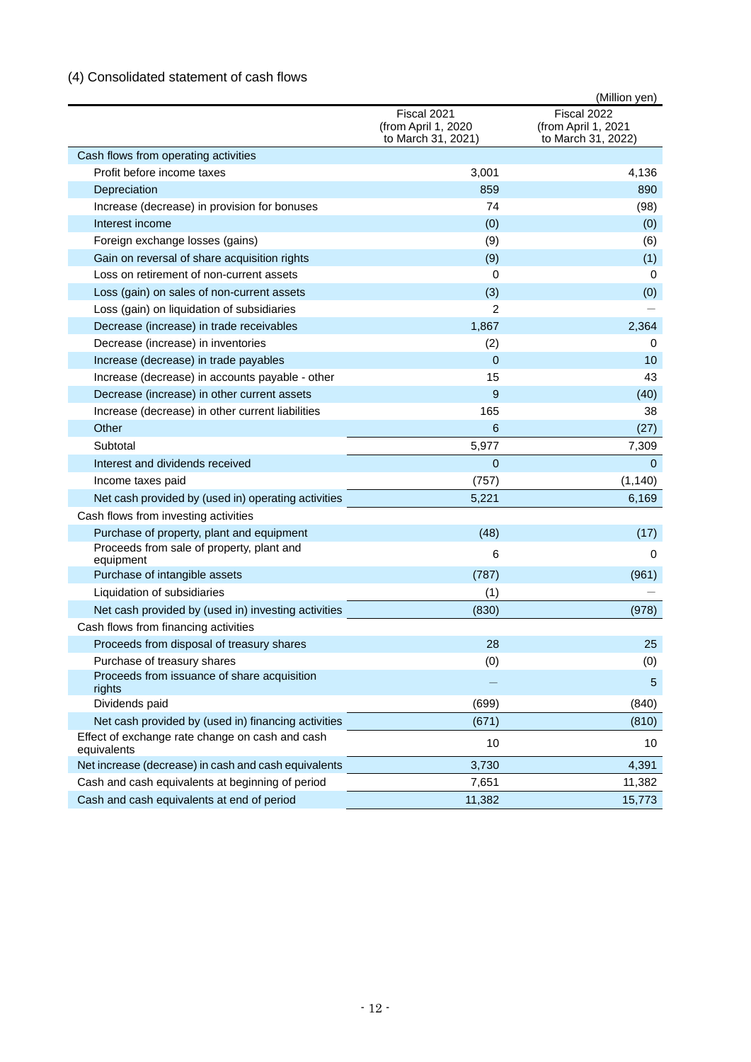# (4) Consolidated statement of cash flows

|                                                                |                                                          | (Million yen)                                            |
|----------------------------------------------------------------|----------------------------------------------------------|----------------------------------------------------------|
|                                                                | Fiscal 2021<br>(from April 1, 2020<br>to March 31, 2021) | Fiscal 2022<br>(from April 1, 2021<br>to March 31, 2022) |
| Cash flows from operating activities                           |                                                          |                                                          |
| Profit before income taxes                                     | 3,001                                                    | 4,136                                                    |
| Depreciation                                                   | 859                                                      | 890                                                      |
| Increase (decrease) in provision for bonuses                   | 74                                                       | (98)                                                     |
| Interest income                                                | (0)                                                      | (0)                                                      |
| Foreign exchange losses (gains)                                | (9)                                                      | (6)                                                      |
| Gain on reversal of share acquisition rights                   | (9)                                                      | (1)                                                      |
| Loss on retirement of non-current assets                       | 0                                                        | 0                                                        |
| Loss (gain) on sales of non-current assets                     | (3)                                                      | (0)                                                      |
| Loss (gain) on liquidation of subsidiaries                     | $\overline{2}$                                           |                                                          |
| Decrease (increase) in trade receivables                       | 1,867                                                    | 2,364                                                    |
| Decrease (increase) in inventories                             | (2)                                                      | 0                                                        |
| Increase (decrease) in trade payables                          | $\overline{0}$                                           | 10                                                       |
| Increase (decrease) in accounts payable - other                | 15                                                       | 43                                                       |
| Decrease (increase) in other current assets                    | 9                                                        | (40)                                                     |
| Increase (decrease) in other current liabilities               | 165                                                      | 38                                                       |
| Other                                                          | 6                                                        | (27)                                                     |
| Subtotal                                                       | 5,977                                                    | 7,309                                                    |
| Interest and dividends received                                | $\Omega$                                                 | $\Omega$                                                 |
| Income taxes paid                                              | (757)                                                    | (1, 140)                                                 |
| Net cash provided by (used in) operating activities            | 5,221                                                    | 6,169                                                    |
| Cash flows from investing activities                           |                                                          |                                                          |
| Purchase of property, plant and equipment                      | (48)                                                     | (17)                                                     |
| Proceeds from sale of property, plant and<br>equipment         | 6                                                        | 0                                                        |
| Purchase of intangible assets                                  | (787)                                                    | (961)                                                    |
| Liquidation of subsidiaries                                    | (1)                                                      |                                                          |
| Net cash provided by (used in) investing activities            | (830)                                                    | (978)                                                    |
| Cash flows from financing activities                           |                                                          |                                                          |
| Proceeds from disposal of treasury shares                      | 28                                                       | 25                                                       |
| Purchase of treasury shares                                    | (0)                                                      | (0)                                                      |
| Proceeds from issuance of share acquisition<br>rights          |                                                          | 5                                                        |
| Dividends paid                                                 | (699)                                                    | (840)                                                    |
| Net cash provided by (used in) financing activities            | (671)                                                    | (810)                                                    |
| Effect of exchange rate change on cash and cash<br>equivalents | 10                                                       | 10                                                       |
| Net increase (decrease) in cash and cash equivalents           | 3,730                                                    | 4,391                                                    |
| Cash and cash equivalents at beginning of period               | 7,651                                                    | 11,382                                                   |
| Cash and cash equivalents at end of period                     | 11,382                                                   | 15,773                                                   |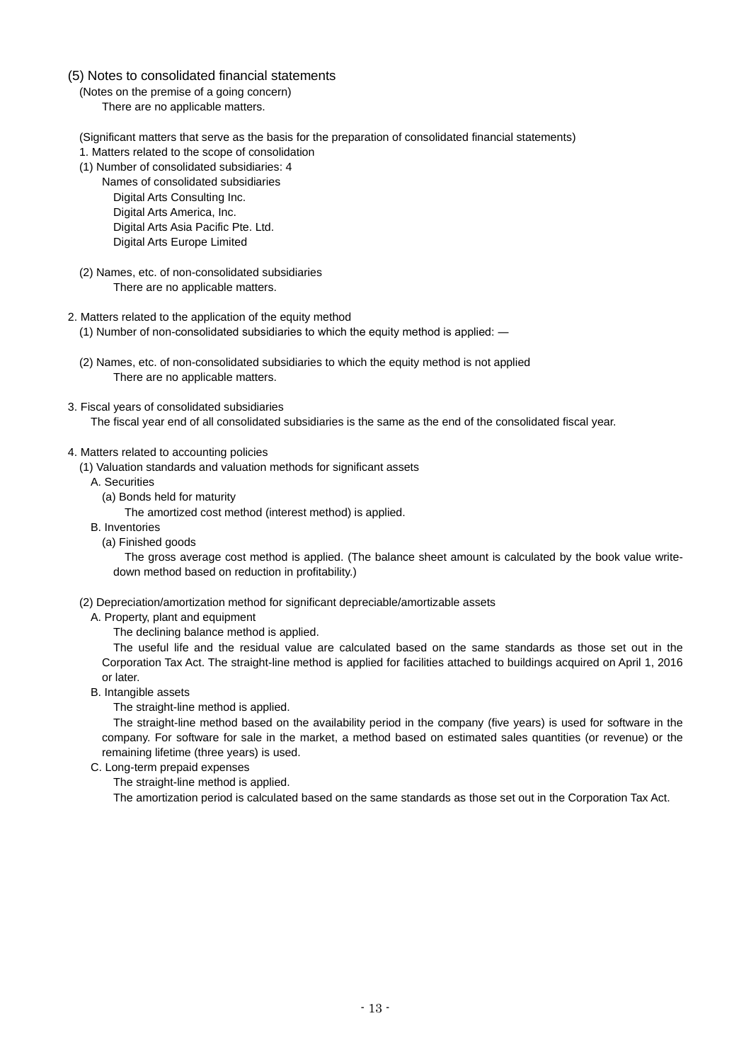## (5) Notes to consolidated financial statements

(Notes on the premise of a going concern)

There are no applicable matters.

- (Significant matters that serve as the basis for the preparation of consolidated financial statements)
- 1. Matters related to the scope of consolidation
- (1) Number of consolidated subsidiaries: 4
	- Names of consolidated subsidiaries Digital Arts Consulting Inc. Digital Arts America, Inc. Digital Arts Asia Pacific Pte. Ltd. Digital Arts Europe Limited
- (2) Names, etc. of non-consolidated subsidiaries There are no applicable matters.
- 2. Matters related to the application of the equity method
	- (1) Number of non-consolidated subsidiaries to which the equity method is applied: ―
	- (2) Names, etc. of non-consolidated subsidiaries to which the equity method is not applied There are no applicable matters.
- 3. Fiscal years of consolidated subsidiaries

The fiscal year end of all consolidated subsidiaries is the same as the end of the consolidated fiscal year.

## 4. Matters related to accounting policies

- (1) Valuation standards and valuation methods for significant assets
	- A. Securities
		- (a) Bonds held for maturity

The amortized cost method (interest method) is applied.

- B. Inventories
	- (a) Finished goods

The gross average cost method is applied. (The balance sheet amount is calculated by the book value writedown method based on reduction in profitability.)

- (2) Depreciation/amortization method for significant depreciable/amortizable assets
- A. Property, plant and equipment
	- The declining balance method is applied.

The useful life and the residual value are calculated based on the same standards as those set out in the Corporation Tax Act. The straight-line method is applied for facilities attached to buildings acquired on April 1, 2016 or later.

B. Intangible assets

The straight-line method is applied.

The straight-line method based on the availability period in the company (five years) is used for software in the company. For software for sale in the market, a method based on estimated sales quantities (or revenue) or the remaining lifetime (three years) is used.

C. Long-term prepaid expenses

The straight-line method is applied.

The amortization period is calculated based on the same standards as those set out in the Corporation Tax Act.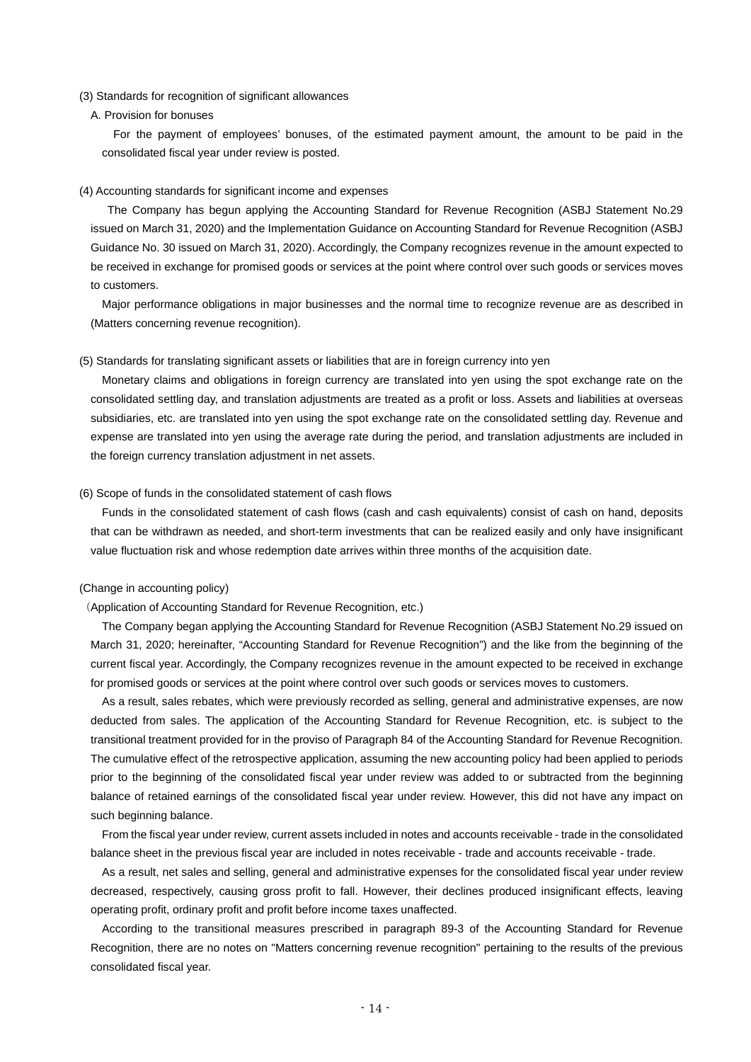#### (3) Standards for recognition of significant allowances

#### A. Provision for bonuses

For the payment of employees' bonuses, of the estimated payment amount, the amount to be paid in the consolidated fiscal year under review is posted.

#### (4) Accounting standards for significant income and expenses

The Company has begun applying the Accounting Standard for Revenue Recognition (ASBJ Statement No.29 issued on March 31, 2020) and the Implementation Guidance on Accounting Standard for Revenue Recognition (ASBJ Guidance No. 30 issued on March 31, 2020). Accordingly, the Company recognizes revenue in the amount expected to be received in exchange for promised goods or services at the point where control over such goods or services moves to customers.

Major performance obligations in major businesses and the normal time to recognize revenue are as described in (Matters concerning revenue recognition).

#### (5) Standards for translating significant assets or liabilities that are in foreign currency into yen

Monetary claims and obligations in foreign currency are translated into yen using the spot exchange rate on the consolidated settling day, and translation adjustments are treated as a profit or loss. Assets and liabilities at overseas subsidiaries, etc. are translated into yen using the spot exchange rate on the consolidated settling day. Revenue and expense are translated into yen using the average rate during the period, and translation adjustments are included in the foreign currency translation adjustment in net assets.

#### (6) Scope of funds in the consolidated statement of cash flows

Funds in the consolidated statement of cash flows (cash and cash equivalents) consist of cash on hand, deposits that can be withdrawn as needed, and short-term investments that can be realized easily and only have insignificant value fluctuation risk and whose redemption date arrives within three months of the acquisition date.

#### (Change in accounting policy)

(Application of Accounting Standard for Revenue Recognition, etc.)

The Company began applying the Accounting Standard for Revenue Recognition (ASBJ Statement No.29 issued on March 31, 2020; hereinafter, "Accounting Standard for Revenue Recognition") and the like from the beginning of the current fiscal year. Accordingly, the Company recognizes revenue in the amount expected to be received in exchange for promised goods or services at the point where control over such goods or services moves to customers.

As a result, sales rebates, which were previously recorded as selling, general and administrative expenses, are now deducted from sales. The application of the Accounting Standard for Revenue Recognition, etc. is subject to the transitional treatment provided for in the proviso of Paragraph 84 of the Accounting Standard for Revenue Recognition. The cumulative effect of the retrospective application, assuming the new accounting policy had been applied to periods prior to the beginning of the consolidated fiscal year under review was added to or subtracted from the beginning balance of retained earnings of the consolidated fiscal year under review. However, this did not have any impact on such beginning balance.

From the fiscal year under review, current assets included in notes and accounts receivable - trade in the consolidated balance sheet in the previous fiscal year are included in notes receivable - trade and accounts receivable - trade.

As a result, net sales and selling, general and administrative expenses for the consolidated fiscal year under review decreased, respectively, causing gross profit to fall. However, their declines produced insignificant effects, leaving operating profit, ordinary profit and profit before income taxes unaffected.

According to the transitional measures prescribed in paragraph 89-3 of the Accounting Standard for Revenue Recognition, there are no notes on "Matters concerning revenue recognition" pertaining to the results of the previous consolidated fiscal year.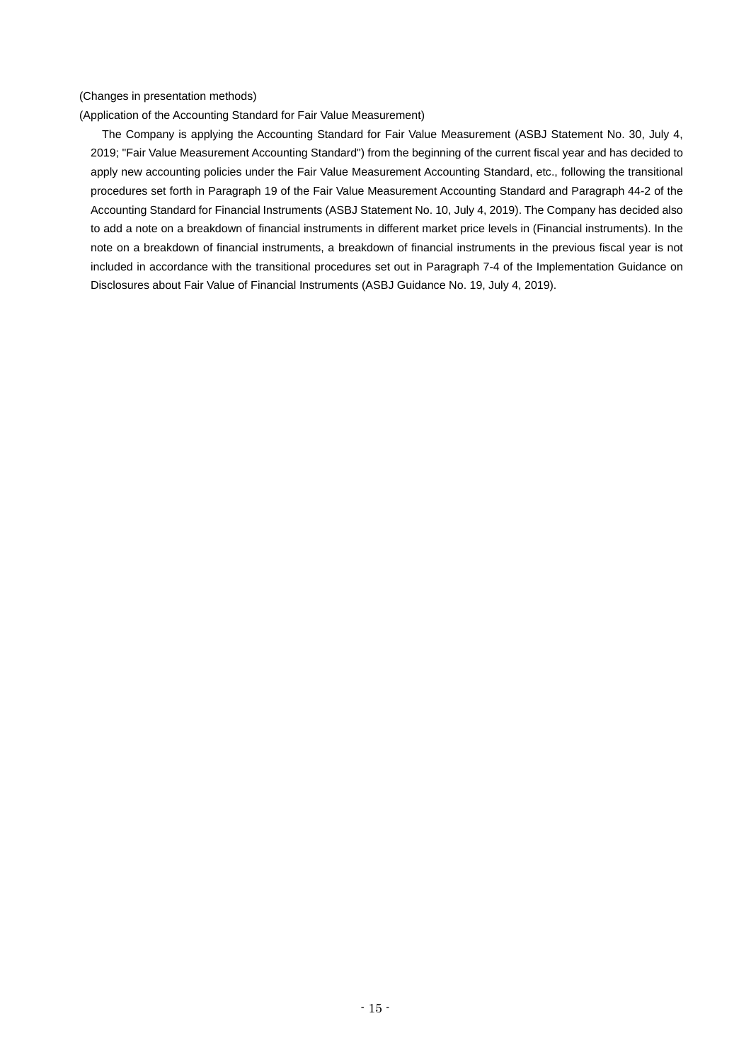(Changes in presentation methods)

(Application of the Accounting Standard for Fair Value Measurement)

The Company is applying the Accounting Standard for Fair Value Measurement (ASBJ Statement No. 30, July 4, 2019; "Fair Value Measurement Accounting Standard") from the beginning of the current fiscal year and has decided to apply new accounting policies under the Fair Value Measurement Accounting Standard, etc., following the transitional procedures set forth in Paragraph 19 of the Fair Value Measurement Accounting Standard and Paragraph 44-2 of the Accounting Standard for Financial Instruments (ASBJ Statement No. 10, July 4, 2019). The Company has decided also to add a note on a breakdown of financial instruments in different market price levels in (Financial instruments). In the note on a breakdown of financial instruments, a breakdown of financial instruments in the previous fiscal year is not included in accordance with the transitional procedures set out in Paragraph 7-4 of the Implementation Guidance on Disclosures about Fair Value of Financial Instruments (ASBJ Guidance No. 19, July 4, 2019).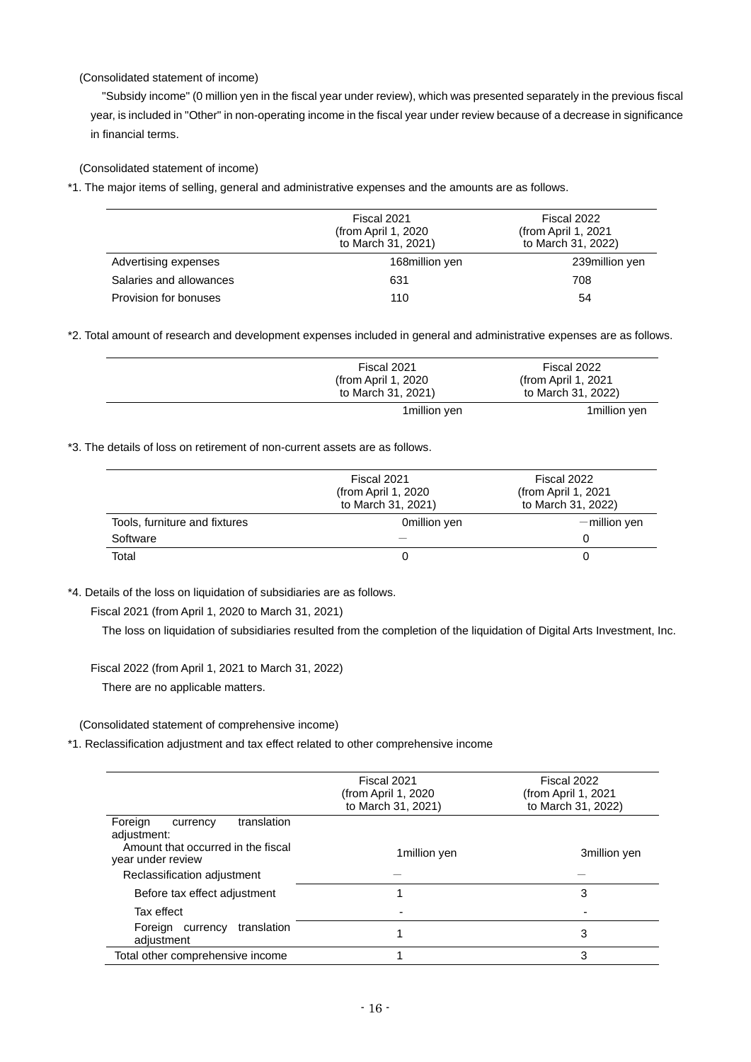## (Consolidated statement of income)

"Subsidy income" (0 million yen in the fiscal year under review), which was presented separately in the previous fiscal year, is included in "Other" in non-operating income in the fiscal year under review because of a decrease in significance in financial terms.

(Consolidated statement of income)

\*1. The major items of selling, general and administrative expenses and the amounts are as follows.

|                         | Fiscal 2021<br>(from April 1, 2020)<br>to March 31, 2021) | Fiscal 2022<br>(from April 1, 2021)<br>to March 31, 2022) |
|-------------------------|-----------------------------------------------------------|-----------------------------------------------------------|
| Advertising expenses    | 168million yen                                            | 239million yen                                            |
| Salaries and allowances | 631                                                       | 708                                                       |
| Provision for bonuses   | 110                                                       | 54                                                        |

\*2. Total amount of research and development expenses included in general and administrative expenses are as follows.

| Fiscal 2021          | Fiscal 2022          |
|----------------------|----------------------|
| (from April 1, 2020) | (from April 1, 2021) |
| to March 31, 2021)   | to March 31, 2022)   |
| 1 million yen        | 1 million yen        |

\*3. The details of loss on retirement of non-current assets are as follows.

|                               | Fiscal 2021<br>(from April 1, 2020)<br>to March 31, 2021) | Fiscal 2022<br>(from April 1, 2021)<br>to March 31, 2022) |  |
|-------------------------------|-----------------------------------------------------------|-----------------------------------------------------------|--|
| Tools, furniture and fixtures | Omillion yen                                              | $-$ million yen                                           |  |
| Software                      |                                                           |                                                           |  |
| Total                         |                                                           |                                                           |  |

\*4. Details of the loss on liquidation of subsidiaries are as follows.

Fiscal 2021 (from April 1, 2020 to March 31, 2021)

The loss on liquidation of subsidiaries resulted from the completion of the liquidation of Digital Arts Investment, Inc.

Fiscal 2022 (from April 1, 2021 to March 31, 2022)

There are no applicable matters.

(Consolidated statement of comprehensive income)

\*1. Reclassification adjustment and tax effect related to other comprehensive income

|                                                         | Fiscal 2021<br>(from April 1, 2020)<br>to March 31, 2021) | Fiscal 2022<br>(from April 1, 2021)<br>to March 31, 2022) |
|---------------------------------------------------------|-----------------------------------------------------------|-----------------------------------------------------------|
| translation<br>Foreign<br>currency<br>adjustment:       |                                                           |                                                           |
| Amount that occurred in the fiscal<br>year under review | 1 million yen                                             | 3million yen                                              |
| Reclassification adjustment                             |                                                           |                                                           |
| Before tax effect adjustment                            |                                                           | 3                                                         |
| Tax effect                                              |                                                           |                                                           |
| translation<br>Foreign currency<br>adiustment           |                                                           | 3                                                         |
| Total other comprehensive income                        |                                                           | 3                                                         |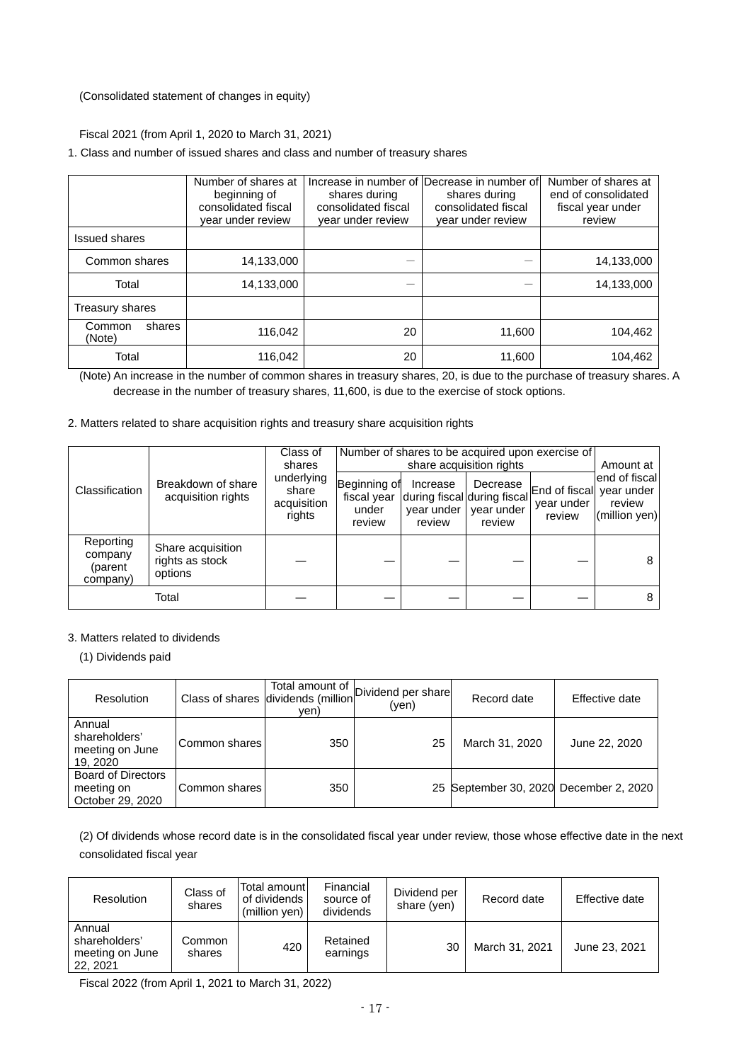(Consolidated statement of changes in equity)

Fiscal 2021 (from April 1, 2020 to March 31, 2021)

1. Class and number of issued shares and class and number of treasury shares

|                            | Number of shares at<br>beginning of<br>consolidated fiscal<br>year under review | shares during<br>consolidated fiscal<br>year under review | Increase in number of IDecrease in number of<br>shares during<br>consolidated fiscal<br>year under review | Number of shares at<br>end of consolidated<br>fiscal year under<br>review |
|----------------------------|---------------------------------------------------------------------------------|-----------------------------------------------------------|-----------------------------------------------------------------------------------------------------------|---------------------------------------------------------------------------|
| <b>Issued shares</b>       |                                                                                 |                                                           |                                                                                                           |                                                                           |
| Common shares              | 14,133,000                                                                      |                                                           |                                                                                                           | 14,133,000                                                                |
| Total                      | 14,133,000                                                                      |                                                           |                                                                                                           | 14,133,000                                                                |
| Treasury shares            |                                                                                 |                                                           |                                                                                                           |                                                                           |
| Common<br>shares<br>(Note) | 116.042                                                                         | 20                                                        | 11.600                                                                                                    | 104,462                                                                   |
| Total                      | 116,042                                                                         | 20                                                        | 11,600                                                                                                    | 104,462                                                                   |

(Note) An increase in the number of common shares in treasury shares, 20, is due to the purchase of treasury shares. A decrease in the number of treasury shares, 11,600, is due to the exercise of stock options.

2. Matters related to share acquisition rights and treasury share acquisition rights

|                                             |                                                 | Class of<br>shares                           | Number of shares to be acquired upon exercise of<br>share acquisition rights |                                  |                                                                 |                                                  | Amount at                                |
|---------------------------------------------|-------------------------------------------------|----------------------------------------------|------------------------------------------------------------------------------|----------------------------------|-----------------------------------------------------------------|--------------------------------------------------|------------------------------------------|
| Classification                              | Breakdown of share<br>acquisition rights        | underlying<br>share<br>acquisition<br>rights | Beginning of<br>fiscal year<br>under<br>review                               | Increase<br>year under<br>review | Decrease<br>during fiscal during fiscal<br>year under<br>review | End of fiscal year under<br>year under<br>review | end of fiscal<br>review<br>(million yen) |
| Reporting<br>company<br>(parent<br>company) | Share acquisition<br>rights as stock<br>options |                                              |                                                                              |                                  |                                                                 |                                                  | 8                                        |
|                                             | Total                                           |                                              |                                                                              |                                  |                                                                 |                                                  | 8                                        |

## 3. Matters related to dividends

(1) Dividends paid

| Resolution                                                  |               | Class of shares dividends (million<br>ven) | Total amount of Dividend per share<br>(yen) | Record date                            | Effective date |
|-------------------------------------------------------------|---------------|--------------------------------------------|---------------------------------------------|----------------------------------------|----------------|
| Annual<br>shareholders'<br>meeting on June<br>19, 2020      | Common shares | 350                                        | 25                                          | March 31, 2020                         | June 22, 2020  |
| <b>Board of Directors</b><br>meeting on<br>October 29, 2020 | Common shares | 350                                        |                                             | 25 September 30, 2020 December 2, 2020 |                |

(2) Of dividends whose record date is in the consolidated fiscal year under review, those whose effective date in the next consolidated fiscal year

| <b>Resolution</b>                                      | Class of<br>shares | Total amount<br>of dividends<br>(million yen) | Financial<br>source of<br>dividends | Dividend per<br>share (yen) | Record date    | Effective date |
|--------------------------------------------------------|--------------------|-----------------------------------------------|-------------------------------------|-----------------------------|----------------|----------------|
| Annual<br>shareholders'<br>meeting on June<br>22, 2021 | Common<br>shares   | 420                                           | Retained<br>earnings                | 30                          | March 31, 2021 | June 23, 2021  |

Fiscal 2022 (from April 1, 2021 to March 31, 2022)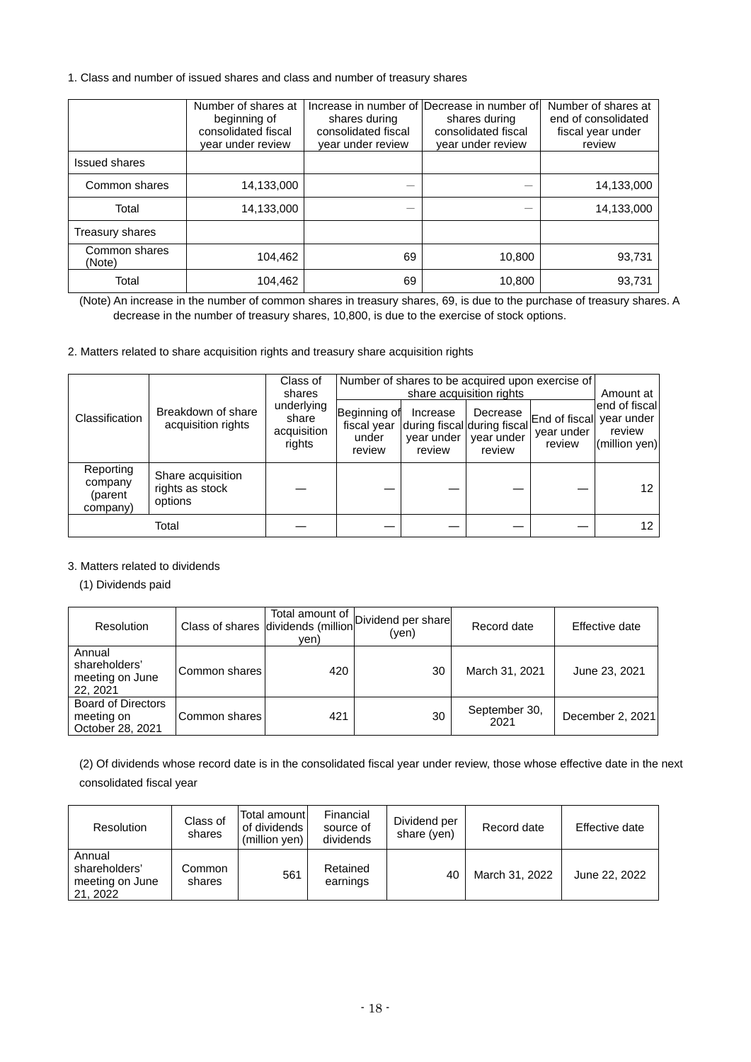1. Class and number of issued shares and class and number of treasury shares

|                         | Number of shares at<br>beginning of<br>consolidated fiscal<br>year under review | shares during<br>consolidated fiscal<br>year under review | Increase in number of IDecrease in number of<br>shares during<br>consolidated fiscal<br>year under review | Number of shares at<br>end of consolidated<br>fiscal year under<br>review |
|-------------------------|---------------------------------------------------------------------------------|-----------------------------------------------------------|-----------------------------------------------------------------------------------------------------------|---------------------------------------------------------------------------|
| <b>Issued shares</b>    |                                                                                 |                                                           |                                                                                                           |                                                                           |
| Common shares           | 14,133,000                                                                      |                                                           |                                                                                                           | 14,133,000                                                                |
| Total                   | 14,133,000                                                                      |                                                           |                                                                                                           | 14,133,000                                                                |
| Treasury shares         |                                                                                 |                                                           |                                                                                                           |                                                                           |
| Common shares<br>(Note) | 104,462                                                                         | 69                                                        | 10,800                                                                                                    | 93,731                                                                    |
| Total                   | 104,462                                                                         | 69                                                        | 10.800                                                                                                    | 93,731                                                                    |

(Note) An increase in the number of common shares in treasury shares, 69, is due to the purchase of treasury shares. A decrease in the number of treasury shares, 10,800, is due to the exercise of stock options.

2. Matters related to share acquisition rights and treasury share acquisition rights

|                                             |                                                 | Class of<br>shares                           | Number of shares to be acquired upon exercise of | Amount at                        |                                                                 |                                                  |                                          |
|---------------------------------------------|-------------------------------------------------|----------------------------------------------|--------------------------------------------------|----------------------------------|-----------------------------------------------------------------|--------------------------------------------------|------------------------------------------|
| Classification                              | Breakdown of share<br>acquisition rights        | underlying<br>share<br>acquisition<br>rights | Beginning of<br>fiscal year<br>under<br>review   | Increase<br>year under<br>review | Decrease<br>during fiscal during fiscal<br>year under<br>review | End of fiscal year under<br>year under<br>review | end of fiscal<br>review<br>(million yen) |
| Reporting<br>company<br>(parent<br>company) | Share acquisition<br>rights as stock<br>options |                                              |                                                  |                                  |                                                                 |                                                  | 12                                       |
|                                             | Total                                           |                                              |                                                  |                                  |                                                                 |                                                  | 12.                                      |

## 3. Matters related to dividends

(1) Dividends paid

| Resolution                                                  |               | Total amount of<br>Class of shares dividends (million<br>ven) | Dividend per share<br>(yen) | Record date           | Effective date   |
|-------------------------------------------------------------|---------------|---------------------------------------------------------------|-----------------------------|-----------------------|------------------|
| Annual<br>shareholders'<br>meeting on June<br>22, 2021      | Common shares | 420                                                           | 30                          | March 31, 2021        | June 23, 2021    |
| <b>Board of Directors</b><br>meeting on<br>October 28, 2021 | Common shares | 421                                                           | 30                          | September 30,<br>2021 | December 2, 2021 |

(2) Of dividends whose record date is in the consolidated fiscal year under review, those whose effective date in the next consolidated fiscal year

| Resolution                                             | Class of<br>shares | Total amount l<br>of dividends<br>(million yen) | Financial<br>source of<br>dividends | Dividend per<br>share (yen) | Record date    | Effective date |
|--------------------------------------------------------|--------------------|-------------------------------------------------|-------------------------------------|-----------------------------|----------------|----------------|
| Annual<br>shareholders'<br>meeting on June<br>21, 2022 | Common<br>shares   | 561                                             | Retained<br>earnings                | 40                          | March 31, 2022 | June 22, 2022  |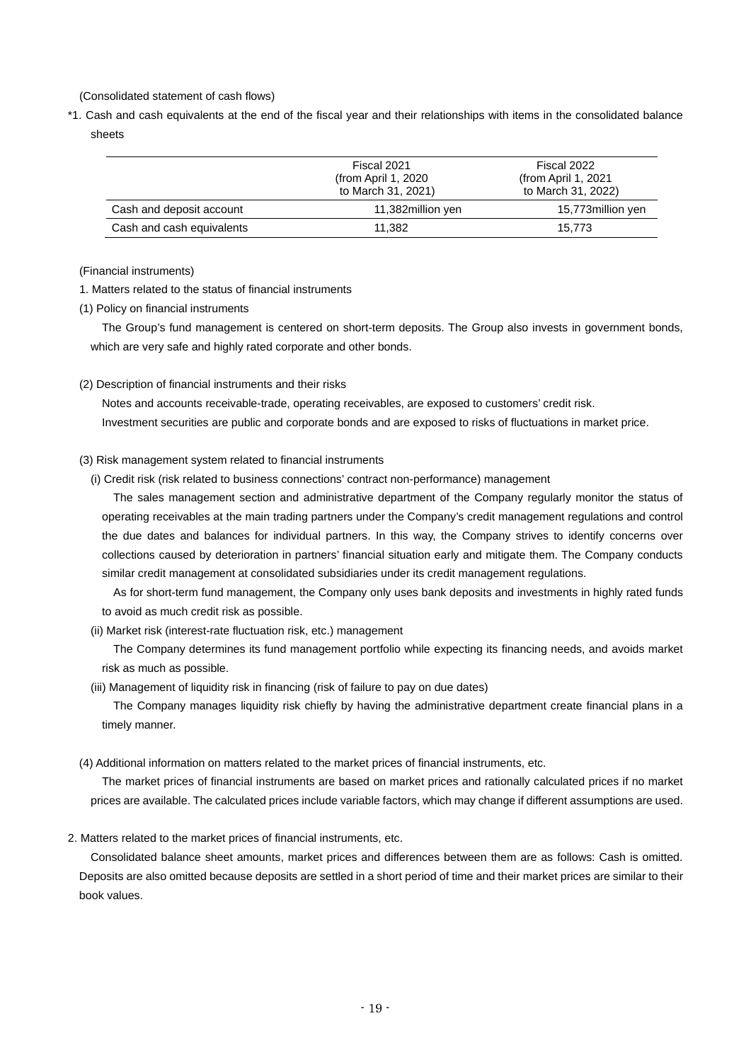(Consolidated statement of cash flows)

\*1. Cash and cash equivalents at the end of the fiscal year and their relationships with items in the consolidated balance sheets

|                           | Fiscal 2021<br>(from April 1, 2020)<br>to March 31, 2021) | Fiscal 2022<br>(from April 1, 2021)<br>to March 31, 2022) |
|---------------------------|-----------------------------------------------------------|-----------------------------------------------------------|
| Cash and deposit account  | 11,382million yen                                         | 15,773million yen                                         |
| Cash and cash equivalents | 11.382                                                    | 15.773                                                    |

(Financial instruments)

1. Matters related to the status of financial instruments

(1) Policy on financial instruments

The Group's fund management is centered on short-term deposits. The Group also invests in government bonds, which are very safe and highly rated corporate and other bonds.

(2) Description of financial instruments and their risks

Notes and accounts receivable-trade, operating receivables, are exposed to customers' credit risk. Investment securities are public and corporate bonds and are exposed to risks of fluctuations in market price.

### (3) Risk management system related to financial instruments

(i) Credit risk (risk related to business connections' contract non-performance) management

The sales management section and administrative department of the Company regularly monitor the status of operating receivables at the main trading partners under the Company's credit management regulations and control the due dates and balances for individual partners. In this way, the Company strives to identify concerns over collections caused by deterioration in partners' financial situation early and mitigate them. The Company conducts similar credit management at consolidated subsidiaries under its credit management regulations.

As for short-term fund management, the Company only uses bank deposits and investments in highly rated funds to avoid as much credit risk as possible.

(ii) Market risk (interest-rate fluctuation risk, etc.) management

The Company determines its fund management portfolio while expecting its financing needs, and avoids market risk as much as possible.

(iii) Management of liquidity risk in financing (risk of failure to pay on due dates)

The Company manages liquidity risk chiefly by having the administrative department create financial plans in a timely manner.

(4) Additional information on matters related to the market prices of financial instruments, etc.

The market prices of financial instruments are based on market prices and rationally calculated prices if no market prices are available. The calculated prices include variable factors, which may change if different assumptions are used.

2. Matters related to the market prices of financial instruments, etc.

Consolidated balance sheet amounts, market prices and differences between them are as follows: Cash is omitted. Deposits are also omitted because deposits are settled in a short period of time and their market prices are similar to their book values.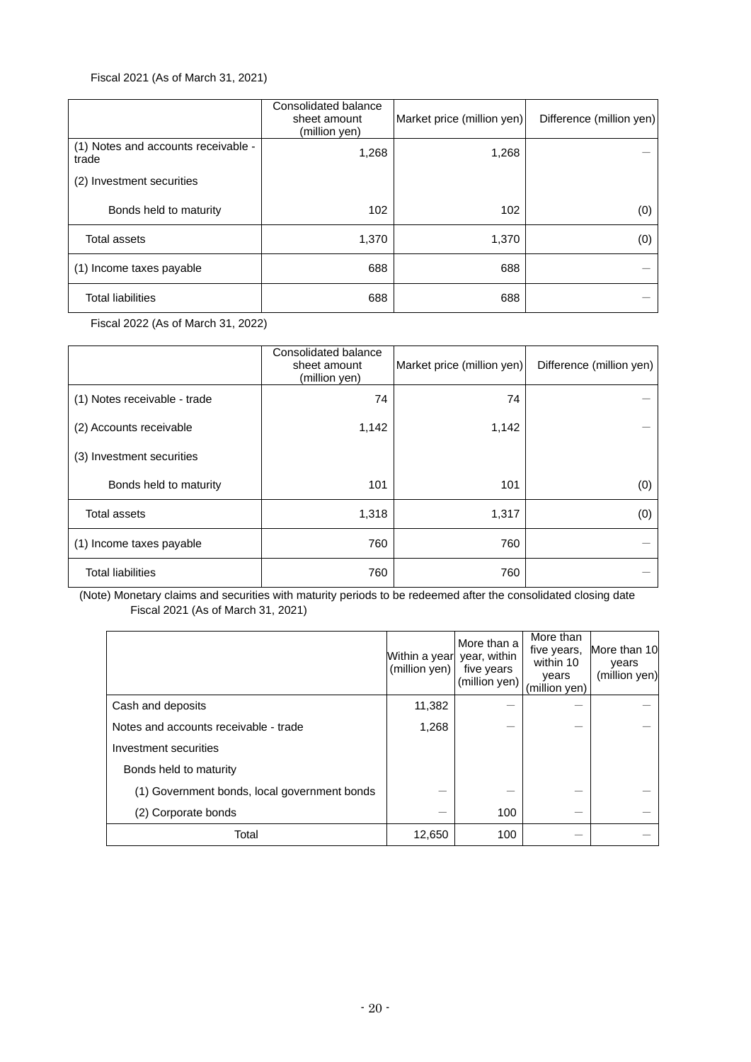## Fiscal 2021 (As of March 31, 2021)

|                                              | Consolidated balance<br>sheet amount<br>(million yen) | Market price (million yen) | Difference (million yen) |
|----------------------------------------------|-------------------------------------------------------|----------------------------|--------------------------|
| (1) Notes and accounts receivable -<br>trade | 1,268                                                 | 1,268                      |                          |
| (2) Investment securities                    |                                                       |                            |                          |
| Bonds held to maturity                       | 102                                                   | 102                        | (0)                      |
| <b>Total assets</b>                          | 1,370                                                 | 1,370                      | (0)                      |
| (1) Income taxes payable                     | 688                                                   | 688                        |                          |
| <b>Total liabilities</b>                     | 688                                                   | 688                        |                          |

Fiscal 2022 (As of March 31, 2022)

|                              | Consolidated balance<br>sheet amount<br>(million yen) | Market price (million yen) | Difference (million yen) |
|------------------------------|-------------------------------------------------------|----------------------------|--------------------------|
| (1) Notes receivable - trade | 74                                                    | 74                         |                          |
| (2) Accounts receivable      | 1,142                                                 | 1,142                      |                          |
| (3) Investment securities    |                                                       |                            |                          |
| Bonds held to maturity       | 101                                                   | 101                        | (0)                      |
| <b>Total assets</b>          | 1,318                                                 | 1,317                      | (0)                      |
| (1) Income taxes payable     | 760                                                   | 760                        |                          |
| <b>Total liabilities</b>     | 760                                                   | 760                        |                          |

(Note) Monetary claims and securities with maturity periods to be redeemed after the consolidated closing date Fiscal 2021 (As of March 31, 2021)

|                                              | Within a year year, within<br>(million yen) | More than a<br>five years<br>(million yen) | More than<br>five years,<br>within 10<br>years<br>(million yen) | More than 10<br>vears<br>(million yen) |
|----------------------------------------------|---------------------------------------------|--------------------------------------------|-----------------------------------------------------------------|----------------------------------------|
| Cash and deposits                            | 11,382                                      |                                            |                                                                 |                                        |
| Notes and accounts receivable - trade        | 1,268                                       |                                            |                                                                 |                                        |
| Investment securities                        |                                             |                                            |                                                                 |                                        |
| Bonds held to maturity                       |                                             |                                            |                                                                 |                                        |
| (1) Government bonds, local government bonds |                                             |                                            |                                                                 |                                        |
| (2) Corporate bonds                          |                                             | 100                                        |                                                                 |                                        |
| Total                                        | 12,650                                      | 100                                        |                                                                 |                                        |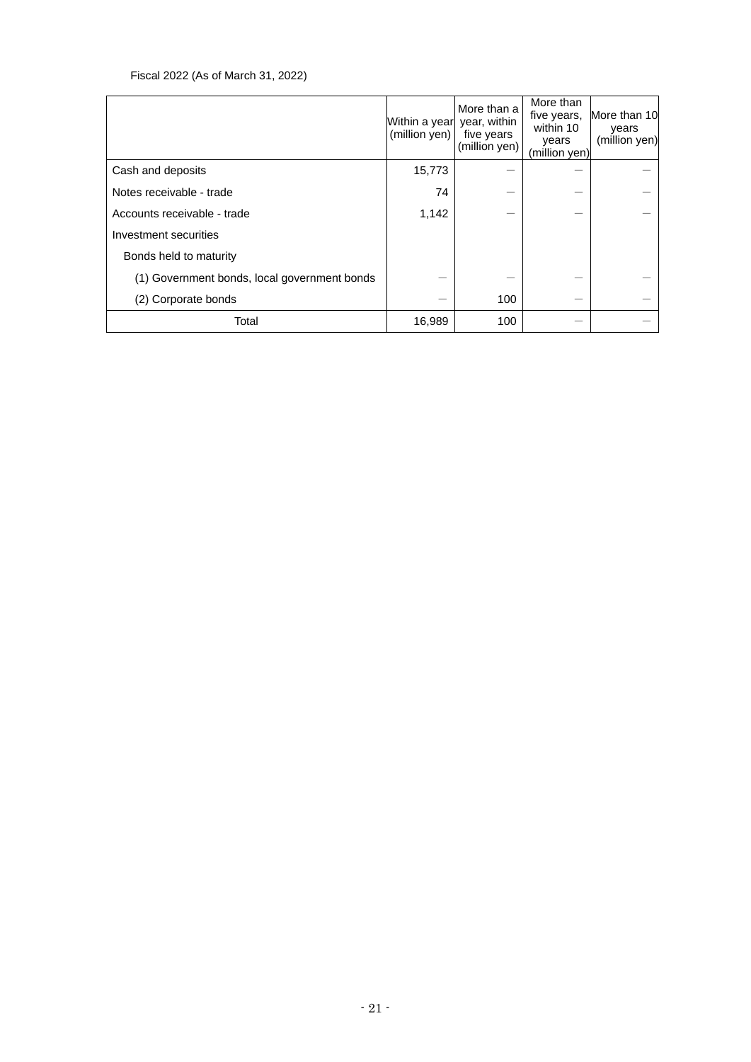## Fiscal 2022 (As of March 31, 2022)

|                                              | Within a year<br>(million yen) | More than a<br>year, within<br>five years<br>(million yen) | More than<br>five years,<br>within 10<br>years<br>(million yen) | More than 10<br>years<br>(million yen) |
|----------------------------------------------|--------------------------------|------------------------------------------------------------|-----------------------------------------------------------------|----------------------------------------|
| Cash and deposits                            | 15,773                         |                                                            |                                                                 |                                        |
| Notes receivable - trade                     | 74                             |                                                            |                                                                 |                                        |
| Accounts receivable - trade                  | 1,142                          |                                                            |                                                                 |                                        |
| Investment securities                        |                                |                                                            |                                                                 |                                        |
| Bonds held to maturity                       |                                |                                                            |                                                                 |                                        |
| (1) Government bonds, local government bonds |                                |                                                            |                                                                 |                                        |
| (2) Corporate bonds                          |                                | 100                                                        |                                                                 |                                        |
| Total                                        | 16,989                         | 100                                                        |                                                                 |                                        |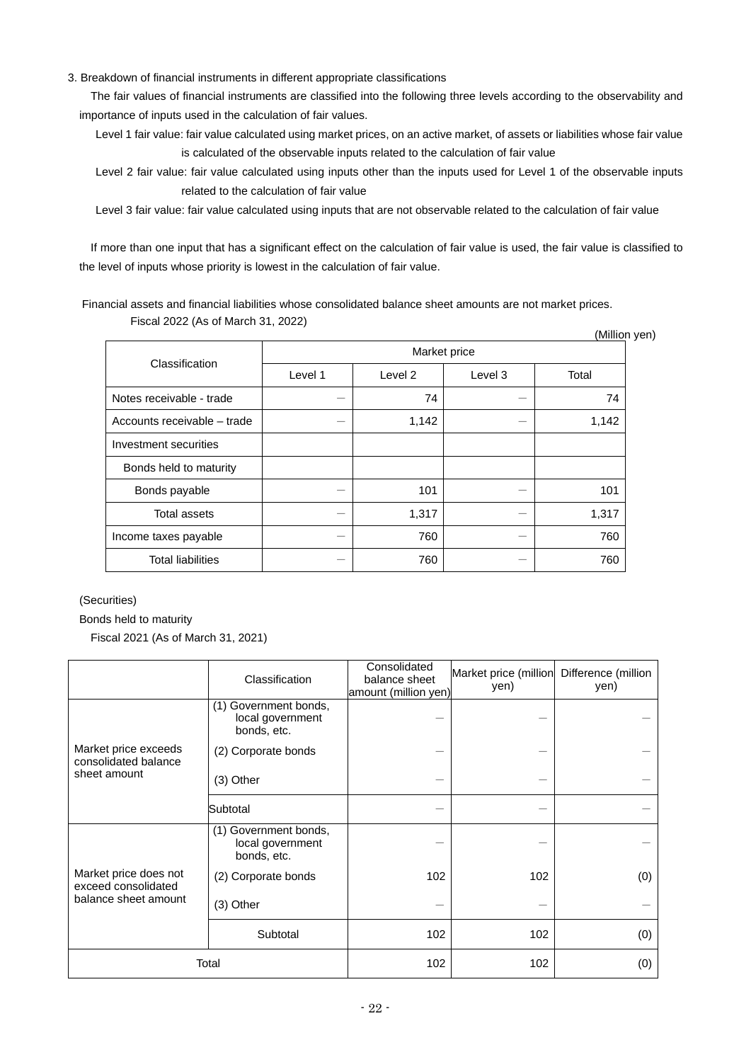3. Breakdown of financial instruments in different appropriate classifications

The fair values of financial instruments are classified into the following three levels according to the observability and importance of inputs used in the calculation of fair values.

Level 1 fair value: fair value calculated using market prices, on an active market, of assets or liabilities whose fair value is calculated of the observable inputs related to the calculation of fair value

Level 2 fair value: fair value calculated using inputs other than the inputs used for Level 1 of the observable inputs related to the calculation of fair value

Level 3 fair value: fair value calculated using inputs that are not observable related to the calculation of fair value

If more than one input that has a significant effect on the calculation of fair value is used, the fair value is classified to the level of inputs whose priority is lowest in the calculation of fair value.

Financial assets and financial liabilities whose consolidated balance sheet amounts are not market prices. Fiscal 2022 (As of March 31, 2022)

| $\frac{1}{2}$ $\frac{1}{2}$ $\frac{1}{2}$ $\frac{1}{2}$ $\frac{1}{2}$ $\frac{1}{2}$ $\frac{1}{2}$ $\frac{1}{2}$ $\frac{1}{2}$ $\frac{1}{2}$ $\frac{1}{2}$ $\frac{1}{2}$ $\frac{1}{2}$ $\frac{1}{2}$ $\frac{1}{2}$ $\frac{1}{2}$ $\frac{1}{2}$ $\frac{1}{2}$ $\frac{1}{2}$ $\frac{1}{2}$ $\frac{1}{2}$ $\frac{1}{2}$<br>(Million yen) |              |         |         |       |  |
|--------------------------------------------------------------------------------------------------------------------------------------------------------------------------------------------------------------------------------------------------------------------------------------------------------------------------------------|--------------|---------|---------|-------|--|
| Classification                                                                                                                                                                                                                                                                                                                       | Market price |         |         |       |  |
|                                                                                                                                                                                                                                                                                                                                      | Level 1      | Level 2 | Level 3 | Total |  |
| Notes receivable - trade                                                                                                                                                                                                                                                                                                             |              | 74      |         | 74    |  |
| Accounts receivable – trade                                                                                                                                                                                                                                                                                                          |              | 1,142   | —       | 1,142 |  |
| Investment securities                                                                                                                                                                                                                                                                                                                |              |         |         |       |  |
| Bonds held to maturity                                                                                                                                                                                                                                                                                                               |              |         |         |       |  |
| Bonds payable                                                                                                                                                                                                                                                                                                                        |              | 101     |         | 101   |  |
| <b>Total assets</b>                                                                                                                                                                                                                                                                                                                  |              | 1,317   |         | 1,317 |  |
| Income taxes payable                                                                                                                                                                                                                                                                                                                 |              | 760     |         | 760   |  |
| <b>Total liabilities</b>                                                                                                                                                                                                                                                                                                             |              | 760     |         | 760   |  |

(Securities)

Bonds held to maturity

Fiscal 2021 (As of March 31, 2021)

|                                              | Classification                                           | Consolidated<br>balance sheet<br>amount (million yen) | Market price (million<br>yen) | Difference (million<br>yen) |
|----------------------------------------------|----------------------------------------------------------|-------------------------------------------------------|-------------------------------|-----------------------------|
|                                              | (1) Government bonds,<br>local government<br>bonds, etc. |                                                       |                               |                             |
| Market price exceeds<br>consolidated balance | (2) Corporate bonds                                      |                                                       |                               |                             |
| sheet amount                                 | $(3)$ Other                                              |                                                       |                               |                             |
|                                              | Subtotal                                                 |                                                       |                               |                             |
|                                              | (1) Government bonds,<br>local government<br>bonds, etc. |                                                       |                               |                             |
| Market price does not<br>exceed consolidated | (2) Corporate bonds                                      | 102                                                   | 102                           | (0)                         |
| balance sheet amount                         | (3) Other                                                |                                                       |                               |                             |
|                                              | Subtotal                                                 | 102                                                   | 102                           | (0)                         |
| Total                                        |                                                          | 102                                                   | 102                           | (0)                         |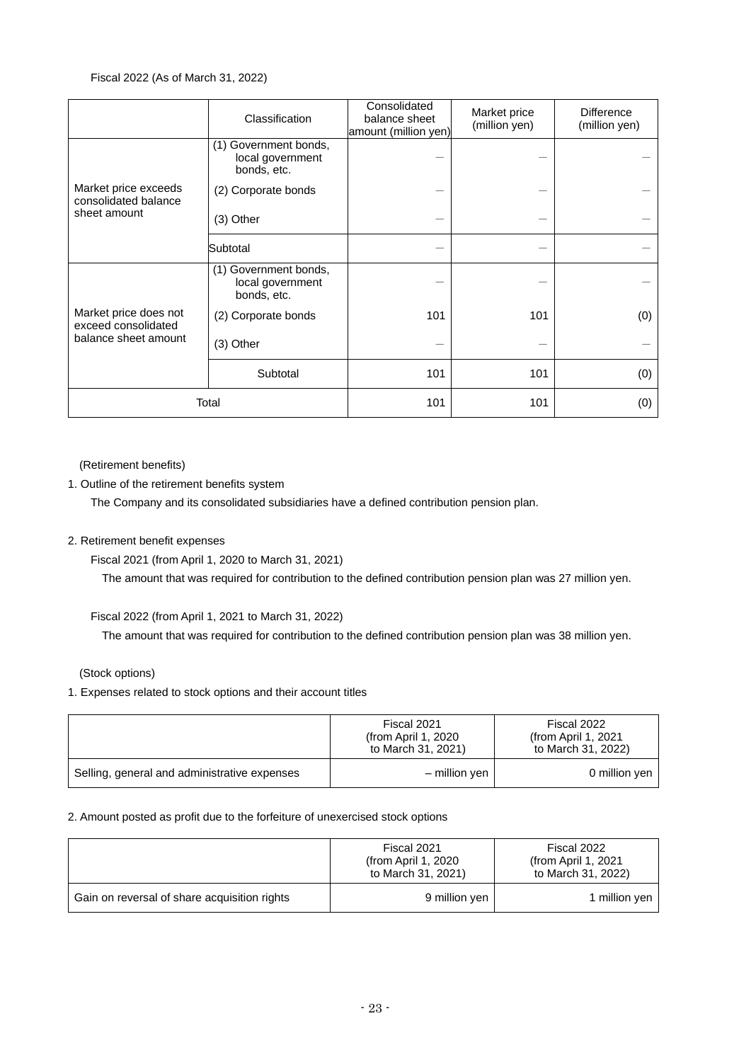## Fiscal 2022 (As of March 31, 2022)

|                                                                      | Classification                                           | Consolidated<br>balance sheet<br>amount (million yen) | Market price<br>(million yen) | <b>Difference</b><br>(million yen) |
|----------------------------------------------------------------------|----------------------------------------------------------|-------------------------------------------------------|-------------------------------|------------------------------------|
|                                                                      | (1) Government bonds,<br>local government<br>bonds, etc. |                                                       |                               |                                    |
| Market price exceeds<br>consolidated balance                         | (2) Corporate bonds                                      |                                                       |                               |                                    |
| sheet amount                                                         | (3) Other                                                |                                                       |                               |                                    |
|                                                                      | Subtotal                                                 |                                                       |                               |                                    |
|                                                                      | (1) Government bonds,<br>local government<br>bonds, etc. |                                                       |                               |                                    |
| Market price does not<br>exceed consolidated<br>balance sheet amount | (2) Corporate bonds                                      | 101                                                   | 101                           | (0)                                |
|                                                                      | (3) Other                                                |                                                       |                               |                                    |
|                                                                      | Subtotal                                                 | 101                                                   | 101                           | (0)                                |
| Total                                                                |                                                          | 101                                                   | 101                           | (0)                                |

(Retirement benefits)

1. Outline of the retirement benefits system

The Company and its consolidated subsidiaries have a defined contribution pension plan.

## 2. Retirement benefit expenses

Fiscal 2021 (from April 1, 2020 to March 31, 2021)

The amount that was required for contribution to the defined contribution pension plan was 27 million yen.

Fiscal 2022 (from April 1, 2021 to March 31, 2022)

The amount that was required for contribution to the defined contribution pension plan was 38 million yen.

(Stock options)

1. Expenses related to stock options and their account titles

|                                              | Fiscal 2021<br>(from April 1, 2020)<br>to March 31, 2021) | Fiscal 2022<br>(from April 1, 2021)<br>to March 31, 2022) |
|----------------------------------------------|-----------------------------------------------------------|-----------------------------------------------------------|
| Selling, general and administrative expenses | – million ven                                             | 0 million yen                                             |

## 2. Amount posted as profit due to the forfeiture of unexercised stock options

|                                              | Fiscal 2021<br>(from April 1, 2020)<br>to March 31, 2021) | Fiscal 2022<br>(from April 1, $2021$<br>to March 31, 2022) |  |
|----------------------------------------------|-----------------------------------------------------------|------------------------------------------------------------|--|
| Gain on reversal of share acquisition rights | 9 million yen                                             | 1 million yen                                              |  |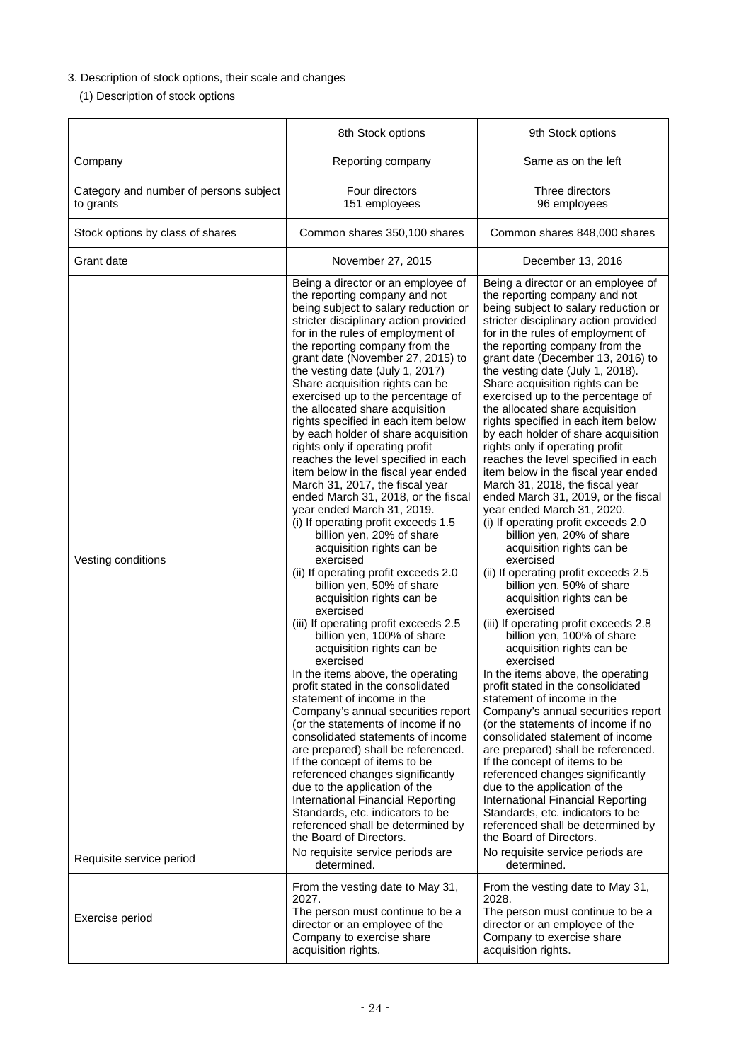# 3. Description of stock options, their scale and changes

(1) Description of stock options

|                                                     | 8th Stock options                                                                                                                                                                                                                                                                                                                                                                                                                                                                                                                                                                                                                                                                                                                                                                                                                                                                                                                                                                                                                                                                                                                                                                                                                                                                                                                                                                                                                                                                                                                                                                 | 9th Stock options                                                                                                                                                                                                                                                                                                                                                                                                                                                                                                                                                                                                                                                                                                                                                                                                                                                                                                                                                                                                                                                                                                                                                                                                                                                                                                                                                                                                                                                                                                                                                                 |
|-----------------------------------------------------|-----------------------------------------------------------------------------------------------------------------------------------------------------------------------------------------------------------------------------------------------------------------------------------------------------------------------------------------------------------------------------------------------------------------------------------------------------------------------------------------------------------------------------------------------------------------------------------------------------------------------------------------------------------------------------------------------------------------------------------------------------------------------------------------------------------------------------------------------------------------------------------------------------------------------------------------------------------------------------------------------------------------------------------------------------------------------------------------------------------------------------------------------------------------------------------------------------------------------------------------------------------------------------------------------------------------------------------------------------------------------------------------------------------------------------------------------------------------------------------------------------------------------------------------------------------------------------------|-----------------------------------------------------------------------------------------------------------------------------------------------------------------------------------------------------------------------------------------------------------------------------------------------------------------------------------------------------------------------------------------------------------------------------------------------------------------------------------------------------------------------------------------------------------------------------------------------------------------------------------------------------------------------------------------------------------------------------------------------------------------------------------------------------------------------------------------------------------------------------------------------------------------------------------------------------------------------------------------------------------------------------------------------------------------------------------------------------------------------------------------------------------------------------------------------------------------------------------------------------------------------------------------------------------------------------------------------------------------------------------------------------------------------------------------------------------------------------------------------------------------------------------------------------------------------------------|
| Company                                             | Reporting company                                                                                                                                                                                                                                                                                                                                                                                                                                                                                                                                                                                                                                                                                                                                                                                                                                                                                                                                                                                                                                                                                                                                                                                                                                                                                                                                                                                                                                                                                                                                                                 | Same as on the left                                                                                                                                                                                                                                                                                                                                                                                                                                                                                                                                                                                                                                                                                                                                                                                                                                                                                                                                                                                                                                                                                                                                                                                                                                                                                                                                                                                                                                                                                                                                                               |
| Category and number of persons subject<br>to grants | Four directors<br>151 employees                                                                                                                                                                                                                                                                                                                                                                                                                                                                                                                                                                                                                                                                                                                                                                                                                                                                                                                                                                                                                                                                                                                                                                                                                                                                                                                                                                                                                                                                                                                                                   | Three directors<br>96 employees                                                                                                                                                                                                                                                                                                                                                                                                                                                                                                                                                                                                                                                                                                                                                                                                                                                                                                                                                                                                                                                                                                                                                                                                                                                                                                                                                                                                                                                                                                                                                   |
| Stock options by class of shares                    | Common shares 350,100 shares                                                                                                                                                                                                                                                                                                                                                                                                                                                                                                                                                                                                                                                                                                                                                                                                                                                                                                                                                                                                                                                                                                                                                                                                                                                                                                                                                                                                                                                                                                                                                      | Common shares 848,000 shares                                                                                                                                                                                                                                                                                                                                                                                                                                                                                                                                                                                                                                                                                                                                                                                                                                                                                                                                                                                                                                                                                                                                                                                                                                                                                                                                                                                                                                                                                                                                                      |
| Grant date                                          | November 27, 2015                                                                                                                                                                                                                                                                                                                                                                                                                                                                                                                                                                                                                                                                                                                                                                                                                                                                                                                                                                                                                                                                                                                                                                                                                                                                                                                                                                                                                                                                                                                                                                 | December 13, 2016                                                                                                                                                                                                                                                                                                                                                                                                                                                                                                                                                                                                                                                                                                                                                                                                                                                                                                                                                                                                                                                                                                                                                                                                                                                                                                                                                                                                                                                                                                                                                                 |
| Vesting conditions                                  | Being a director or an employee of<br>the reporting company and not<br>being subject to salary reduction or<br>stricter disciplinary action provided<br>for in the rules of employment of<br>the reporting company from the<br>grant date (November 27, 2015) to<br>the vesting date (July 1, 2017)<br>Share acquisition rights can be<br>exercised up to the percentage of<br>the allocated share acquisition<br>rights specified in each item below<br>by each holder of share acquisition<br>rights only if operating profit<br>reaches the level specified in each<br>item below in the fiscal year ended<br>March 31, 2017, the fiscal year<br>ended March 31, 2018, or the fiscal<br>year ended March 31, 2019.<br>(i) If operating profit exceeds 1.5<br>billion yen, 20% of share<br>acquisition rights can be<br>exercised<br>(ii) If operating profit exceeds 2.0<br>billion yen, 50% of share<br>acquisition rights can be<br>exercised<br>(iii) If operating profit exceeds 2.5<br>billion yen, 100% of share<br>acquisition rights can be<br>exercised<br>In the items above, the operating<br>profit stated in the consolidated<br>statement of income in the<br>Company's annual securities report<br>(or the statements of income if no<br>consolidated statements of income<br>are prepared) shall be referenced.<br>If the concept of items to be<br>referenced changes significantly<br>due to the application of the<br>International Financial Reporting<br>Standards, etc. indicators to be<br>referenced shall be determined by<br>the Board of Directors. | Being a director or an employee of<br>the reporting company and not<br>being subject to salary reduction or<br>stricter disciplinary action provided<br>for in the rules of employment of<br>the reporting company from the<br>grant date (December 13, 2016) to<br>the vesting date (July 1, 2018).<br>Share acquisition rights can be<br>exercised up to the percentage of<br>the allocated share acquisition<br>rights specified in each item below<br>by each holder of share acquisition<br>rights only if operating profit<br>reaches the level specified in each<br>item below in the fiscal year ended<br>March 31, 2018, the fiscal year<br>ended March 31, 2019, or the fiscal<br>year ended March 31, 2020.<br>(i) If operating profit exceeds 2.0<br>billion yen, 20% of share<br>acquisition rights can be<br>exercised<br>(ii) If operating profit exceeds 2.5<br>billion yen, 50% of share<br>acquisition rights can be<br>exercised<br>(iii) If operating profit exceeds 2.8<br>billion yen, 100% of share<br>acquisition rights can be<br>exercised<br>In the items above, the operating<br>profit stated in the consolidated<br>statement of income in the<br>Company's annual securities report<br>(or the statements of income if no<br>consolidated statement of income<br>are prepared) shall be referenced.<br>If the concept of items to be<br>referenced changes significantly<br>due to the application of the<br>International Financial Reporting<br>Standards, etc. indicators to be<br>referenced shall be determined by<br>the Board of Directors. |
| Requisite service period                            | No requisite service periods are<br>determined.                                                                                                                                                                                                                                                                                                                                                                                                                                                                                                                                                                                                                                                                                                                                                                                                                                                                                                                                                                                                                                                                                                                                                                                                                                                                                                                                                                                                                                                                                                                                   | No requisite service periods are<br>determined.                                                                                                                                                                                                                                                                                                                                                                                                                                                                                                                                                                                                                                                                                                                                                                                                                                                                                                                                                                                                                                                                                                                                                                                                                                                                                                                                                                                                                                                                                                                                   |
| Exercise period                                     | From the vesting date to May 31,<br>2027.<br>The person must continue to be a<br>director or an employee of the<br>Company to exercise share<br>acquisition rights.                                                                                                                                                                                                                                                                                                                                                                                                                                                                                                                                                                                                                                                                                                                                                                                                                                                                                                                                                                                                                                                                                                                                                                                                                                                                                                                                                                                                               | From the vesting date to May 31,<br>2028.<br>The person must continue to be a<br>director or an employee of the<br>Company to exercise share<br>acquisition rights.                                                                                                                                                                                                                                                                                                                                                                                                                                                                                                                                                                                                                                                                                                                                                                                                                                                                                                                                                                                                                                                                                                                                                                                                                                                                                                                                                                                                               |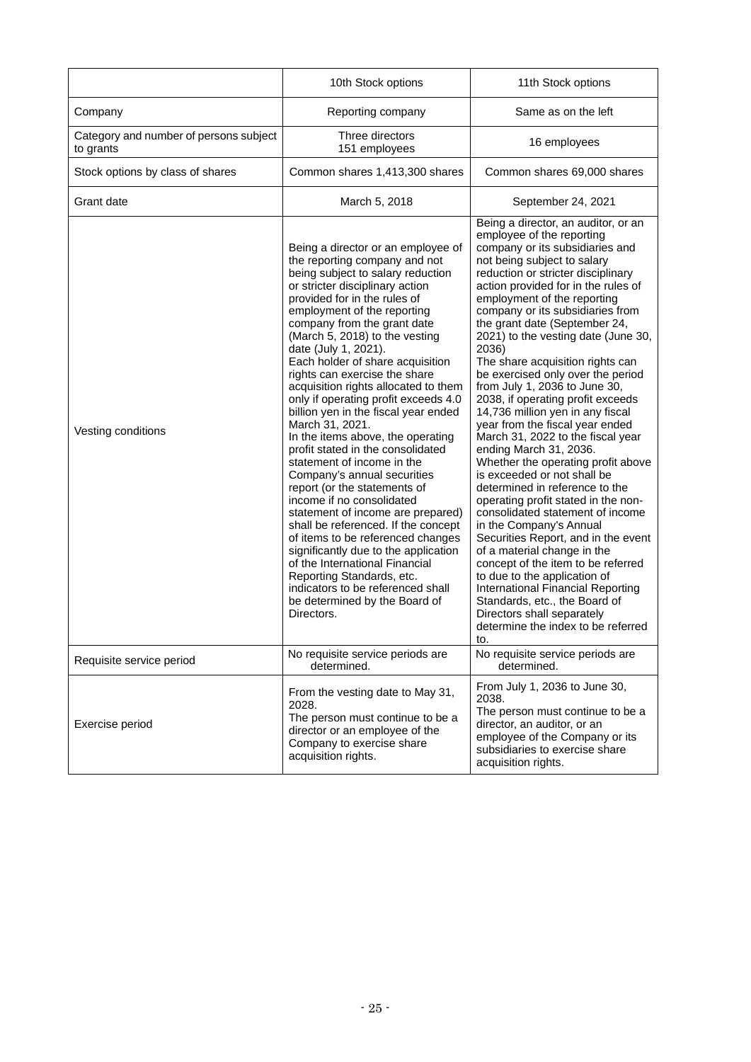|                                                     | 10th Stock options                                                                                                                                                                                                                                                                                                                                                                                                                                                                                                                                                                                                                                                                                                                                                                                                                                                                                                                                                                                                                  | 11th Stock options                                                                                                                                                                                                                                                                                                                                                                                                                                                                                                                                                                                                                                                                                                                                                                                                                                                                                                                                                                                                                                                                                                                                                 |
|-----------------------------------------------------|-------------------------------------------------------------------------------------------------------------------------------------------------------------------------------------------------------------------------------------------------------------------------------------------------------------------------------------------------------------------------------------------------------------------------------------------------------------------------------------------------------------------------------------------------------------------------------------------------------------------------------------------------------------------------------------------------------------------------------------------------------------------------------------------------------------------------------------------------------------------------------------------------------------------------------------------------------------------------------------------------------------------------------------|--------------------------------------------------------------------------------------------------------------------------------------------------------------------------------------------------------------------------------------------------------------------------------------------------------------------------------------------------------------------------------------------------------------------------------------------------------------------------------------------------------------------------------------------------------------------------------------------------------------------------------------------------------------------------------------------------------------------------------------------------------------------------------------------------------------------------------------------------------------------------------------------------------------------------------------------------------------------------------------------------------------------------------------------------------------------------------------------------------------------------------------------------------------------|
| Company                                             | Reporting company                                                                                                                                                                                                                                                                                                                                                                                                                                                                                                                                                                                                                                                                                                                                                                                                                                                                                                                                                                                                                   | Same as on the left                                                                                                                                                                                                                                                                                                                                                                                                                                                                                                                                                                                                                                                                                                                                                                                                                                                                                                                                                                                                                                                                                                                                                |
| Category and number of persons subject<br>to grants | Three directors<br>151 employees                                                                                                                                                                                                                                                                                                                                                                                                                                                                                                                                                                                                                                                                                                                                                                                                                                                                                                                                                                                                    | 16 employees                                                                                                                                                                                                                                                                                                                                                                                                                                                                                                                                                                                                                                                                                                                                                                                                                                                                                                                                                                                                                                                                                                                                                       |
| Stock options by class of shares                    | Common shares 1,413,300 shares                                                                                                                                                                                                                                                                                                                                                                                                                                                                                                                                                                                                                                                                                                                                                                                                                                                                                                                                                                                                      | Common shares 69,000 shares                                                                                                                                                                                                                                                                                                                                                                                                                                                                                                                                                                                                                                                                                                                                                                                                                                                                                                                                                                                                                                                                                                                                        |
| Grant date                                          | March 5, 2018                                                                                                                                                                                                                                                                                                                                                                                                                                                                                                                                                                                                                                                                                                                                                                                                                                                                                                                                                                                                                       | September 24, 2021                                                                                                                                                                                                                                                                                                                                                                                                                                                                                                                                                                                                                                                                                                                                                                                                                                                                                                                                                                                                                                                                                                                                                 |
| Vesting conditions                                  | Being a director or an employee of<br>the reporting company and not<br>being subject to salary reduction<br>or stricter disciplinary action<br>provided for in the rules of<br>employment of the reporting<br>company from the grant date<br>(March 5, 2018) to the vesting<br>date (July 1, 2021).<br>Each holder of share acquisition<br>rights can exercise the share<br>acquisition rights allocated to them<br>only if operating profit exceeds 4.0<br>billion yen in the fiscal year ended<br>March 31, 2021.<br>In the items above, the operating<br>profit stated in the consolidated<br>statement of income in the<br>Company's annual securities<br>report (or the statements of<br>income if no consolidated<br>statement of income are prepared)<br>shall be referenced. If the concept<br>of items to be referenced changes<br>significantly due to the application<br>of the International Financial<br>Reporting Standards, etc.<br>indicators to be referenced shall<br>be determined by the Board of<br>Directors. | Being a director, an auditor, or an<br>employee of the reporting<br>company or its subsidiaries and<br>not being subject to salary<br>reduction or stricter disciplinary<br>action provided for in the rules of<br>employment of the reporting<br>company or its subsidiaries from<br>the grant date (September 24,<br>2021) to the vesting date (June 30,<br>2036)<br>The share acquisition rights can<br>be exercised only over the period<br>from July 1, 2036 to June 30,<br>2038, if operating profit exceeds<br>14,736 million yen in any fiscal<br>year from the fiscal year ended<br>March 31, 2022 to the fiscal year<br>ending March 31, 2036.<br>Whether the operating profit above<br>is exceeded or not shall be<br>determined in reference to the<br>operating profit stated in the non-<br>consolidated statement of income<br>in the Company's Annual<br>Securities Report, and in the event<br>of a material change in the<br>concept of the item to be referred<br>to due to the application of<br>International Financial Reporting<br>Standards, etc., the Board of<br>Directors shall separately<br>determine the index to be referred<br>to. |
| Requisite service period                            | No requisite service periods are<br>determined.                                                                                                                                                                                                                                                                                                                                                                                                                                                                                                                                                                                                                                                                                                                                                                                                                                                                                                                                                                                     | No requisite service periods are<br>determined.                                                                                                                                                                                                                                                                                                                                                                                                                                                                                                                                                                                                                                                                                                                                                                                                                                                                                                                                                                                                                                                                                                                    |
| Exercise period                                     | From the vesting date to May 31,<br>2028.<br>The person must continue to be a<br>director or an employee of the<br>Company to exercise share<br>acquisition rights.                                                                                                                                                                                                                                                                                                                                                                                                                                                                                                                                                                                                                                                                                                                                                                                                                                                                 | From July 1, 2036 to June 30,<br>2038.<br>The person must continue to be a<br>director, an auditor, or an<br>employee of the Company or its<br>subsidiaries to exercise share<br>acquisition rights.                                                                                                                                                                                                                                                                                                                                                                                                                                                                                                                                                                                                                                                                                                                                                                                                                                                                                                                                                               |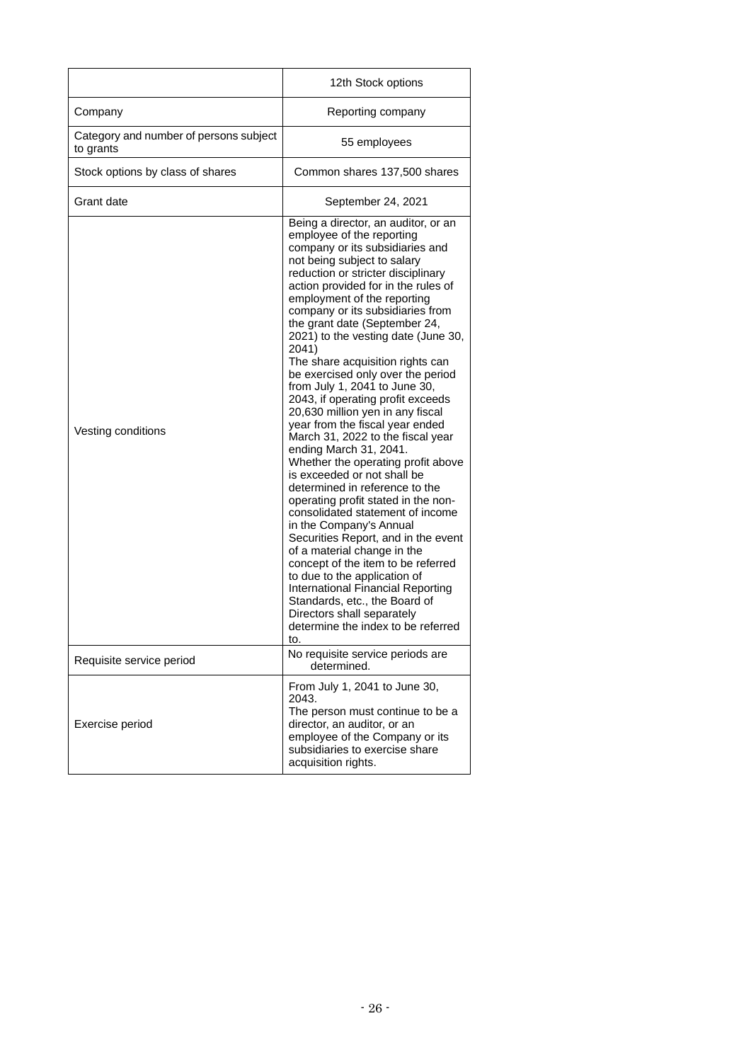|                                                     | 12th Stock options                                                                                                                                                                                                                                                                                                                                                                                                                                                                                                                                                                                                                                                                                                                                                                                                                                                                                                                                                                                                                                                                                                                                                 |
|-----------------------------------------------------|--------------------------------------------------------------------------------------------------------------------------------------------------------------------------------------------------------------------------------------------------------------------------------------------------------------------------------------------------------------------------------------------------------------------------------------------------------------------------------------------------------------------------------------------------------------------------------------------------------------------------------------------------------------------------------------------------------------------------------------------------------------------------------------------------------------------------------------------------------------------------------------------------------------------------------------------------------------------------------------------------------------------------------------------------------------------------------------------------------------------------------------------------------------------|
| Company                                             | Reporting company                                                                                                                                                                                                                                                                                                                                                                                                                                                                                                                                                                                                                                                                                                                                                                                                                                                                                                                                                                                                                                                                                                                                                  |
| Category and number of persons subject<br>to grants | 55 employees                                                                                                                                                                                                                                                                                                                                                                                                                                                                                                                                                                                                                                                                                                                                                                                                                                                                                                                                                                                                                                                                                                                                                       |
| Stock options by class of shares                    | Common shares 137,500 shares                                                                                                                                                                                                                                                                                                                                                                                                                                                                                                                                                                                                                                                                                                                                                                                                                                                                                                                                                                                                                                                                                                                                       |
| Grant date                                          | September 24, 2021                                                                                                                                                                                                                                                                                                                                                                                                                                                                                                                                                                                                                                                                                                                                                                                                                                                                                                                                                                                                                                                                                                                                                 |
| Vesting conditions                                  | Being a director, an auditor, or an<br>employee of the reporting<br>company or its subsidiaries and<br>not being subject to salary<br>reduction or stricter disciplinary<br>action provided for in the rules of<br>employment of the reporting<br>company or its subsidiaries from<br>the grant date (September 24,<br>2021) to the vesting date (June 30,<br>2041)<br>The share acquisition rights can<br>be exercised only over the period<br>from July 1, 2041 to June 30,<br>2043, if operating profit exceeds<br>20,630 million yen in any fiscal<br>year from the fiscal year ended<br>March 31, 2022 to the fiscal year<br>ending March 31, 2041.<br>Whether the operating profit above<br>is exceeded or not shall be<br>determined in reference to the<br>operating profit stated in the non-<br>consolidated statement of income<br>in the Company's Annual<br>Securities Report, and in the event<br>of a material change in the<br>concept of the item to be referred<br>to due to the application of<br>International Financial Reporting<br>Standards, etc., the Board of<br>Directors shall separately<br>determine the index to be referred<br>to. |
| Requisite service period                            | No requisite service periods are<br>determined.                                                                                                                                                                                                                                                                                                                                                                                                                                                                                                                                                                                                                                                                                                                                                                                                                                                                                                                                                                                                                                                                                                                    |
| Exercise period                                     | From July 1, 2041 to June 30,<br>2043.<br>The person must continue to be a<br>director, an auditor, or an<br>employee of the Company or its<br>subsidiaries to exercise share<br>acquisition rights.                                                                                                                                                                                                                                                                                                                                                                                                                                                                                                                                                                                                                                                                                                                                                                                                                                                                                                                                                               |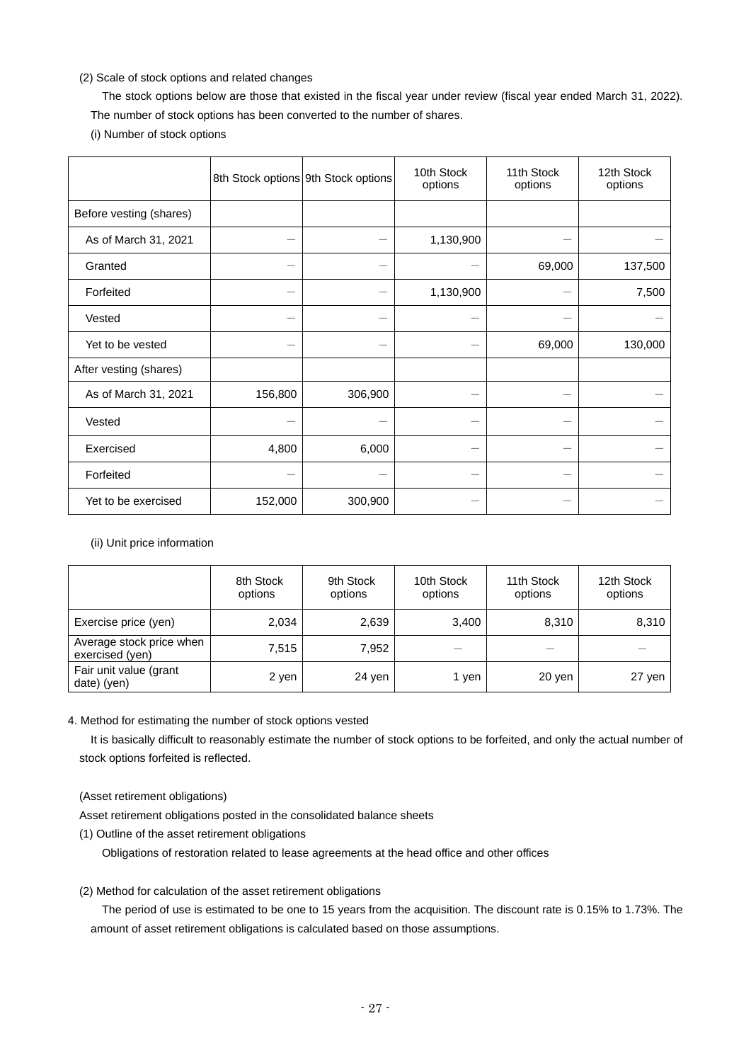## (2) Scale of stock options and related changes

The stock options below are those that existed in the fiscal year under review (fiscal year ended March 31, 2022). The number of stock options has been converted to the number of shares.

(i) Number of stock options

|                         |         | 8th Stock options 9th Stock options | 10th Stock<br>options | 11th Stock<br>options | 12th Stock<br>options |
|-------------------------|---------|-------------------------------------|-----------------------|-----------------------|-----------------------|
| Before vesting (shares) |         |                                     |                       |                       |                       |
| As of March 31, 2021    |         |                                     | 1,130,900             |                       |                       |
| Granted                 |         |                                     |                       | 69,000                | 137,500               |
| Forfeited               |         |                                     | 1,130,900             |                       | 7,500                 |
| Vested                  |         |                                     |                       |                       |                       |
| Yet to be vested        |         |                                     |                       | 69,000                | 130,000               |
| After vesting (shares)  |         |                                     |                       |                       |                       |
| As of March 31, 2021    | 156,800 | 306,900                             |                       |                       |                       |
| Vested                  |         |                                     |                       |                       |                       |
| Exercised               | 4,800   | 6,000                               |                       |                       |                       |
| Forfeited               |         |                                     |                       |                       |                       |
| Yet to be exercised     | 152,000 | 300,900                             |                       |                       |                       |

(ii) Unit price information

|                                             | 8th Stock<br>options | 9th Stock<br>options | 10th Stock<br>options | 11th Stock<br>options | 12th Stock<br>options |
|---------------------------------------------|----------------------|----------------------|-----------------------|-----------------------|-----------------------|
| Exercise price (yen)                        | 2,034                | 2,639                | 3,400                 | 8,310                 | 8,310                 |
| Average stock price when<br>exercised (yen) | 7.515                | 7,952                |                       |                       |                       |
| Fair unit value (grant<br>date) (yen)       | 2 yen                | 24 yen               | 1 ven                 | 20 yen                | 27 yen                |

## 4. Method for estimating the number of stock options vested

It is basically difficult to reasonably estimate the number of stock options to be forfeited, and only the actual number of stock options forfeited is reflected.

(Asset retirement obligations)

Asset retirement obligations posted in the consolidated balance sheets

(1) Outline of the asset retirement obligations

Obligations of restoration related to lease agreements at the head office and other offices

(2) Method for calculation of the asset retirement obligations

The period of use is estimated to be one to 15 years from the acquisition. The discount rate is 0.15% to 1.73%. The amount of asset retirement obligations is calculated based on those assumptions.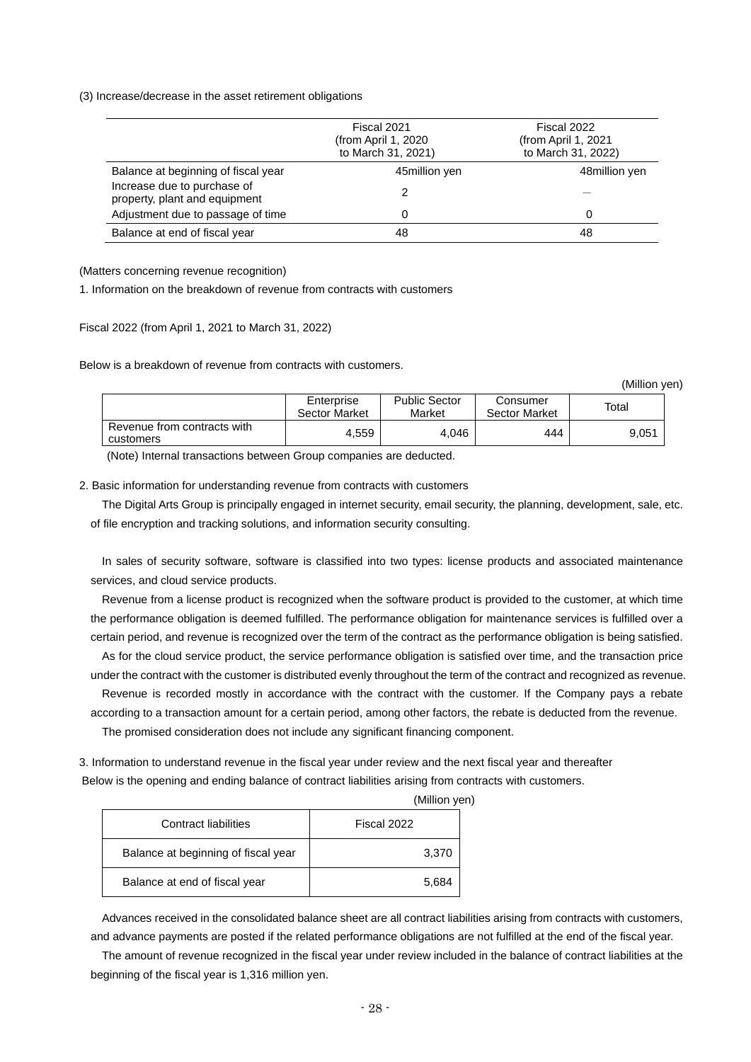(3) Increase/decrease in the asset retirement obligations

|                                                              | Fiscal 2021<br>Fiscal 2022<br>(from April 1, 2020)<br>(from April 1, 2021<br>to March 31, 2021)<br>to March 31, 2022) |               |
|--------------------------------------------------------------|-----------------------------------------------------------------------------------------------------------------------|---------------|
| Balance at beginning of fiscal year                          | 45million yen                                                                                                         | 48million yen |
| Increase due to purchase of<br>property, plant and equipment |                                                                                                                       |               |
| Adjustment due to passage of time                            | 0                                                                                                                     | Ω             |
| Balance at end of fiscal year                                | 48                                                                                                                    | 48            |

(Matters concerning revenue recognition)

1. Information on the breakdown of revenue from contracts with customers

Fiscal 2022 (from April 1, 2021 to March 31, 2022)

Below is a breakdown of revenue from contracts with customers.

(Million yen)

|                                          | Enterprise<br>Sector Market | <b>Public Sector</b><br>Market | Consumer<br><b>Sector Market</b> | Total |
|------------------------------------------|-----------------------------|--------------------------------|----------------------------------|-------|
| Revenue from contracts with<br>customers | 4,559                       | 4.046                          | 444                              | 9,051 |

(Note) Internal transactions between Group companies are deducted.

2. Basic information for understanding revenue from contracts with customers

The Digital Arts Group is principally engaged in internet security, email security, the planning, development, sale, etc. of file encryption and tracking solutions, and information security consulting.

In sales of security software, software is classified into two types: license products and associated maintenance services, and cloud service products.

Revenue from a license product is recognized when the software product is provided to the customer, at which time the performance obligation is deemed fulfilled. The performance obligation for maintenance services is fulfilled over a certain period, and revenue is recognized over the term of the contract as the performance obligation is being satisfied.

As for the cloud service product, the service performance obligation is satisfied over time, and the transaction price under the contract with the customer is distributed evenly throughout the term of the contract and recognized as revenue.

Revenue is recorded mostly in accordance with the contract with the customer. If the Company pays a rebate

according to a transaction amount for a certain period, among other factors, the rebate is deducted from the revenue. The promised consideration does not include any significant financing component.

3. Information to understand revenue in the fiscal year under review and the next fiscal year and thereafter Below is the opening and ending balance of contract liabilities arising from contracts with customers.

| Contract liabilities                | Fiscal 2022 |
|-------------------------------------|-------------|
| Balance at beginning of fiscal year | 3,370       |
| Balance at end of fiscal year       | 5,684       |

(Million yen)

Advances received in the consolidated balance sheet are all contract liabilities arising from contracts with customers, and advance payments are posted if the related performance obligations are not fulfilled at the end of the fiscal year.

The amount of revenue recognized in the fiscal year under review included in the balance of contract liabilities at the beginning of the fiscal year is 1,316 million yen.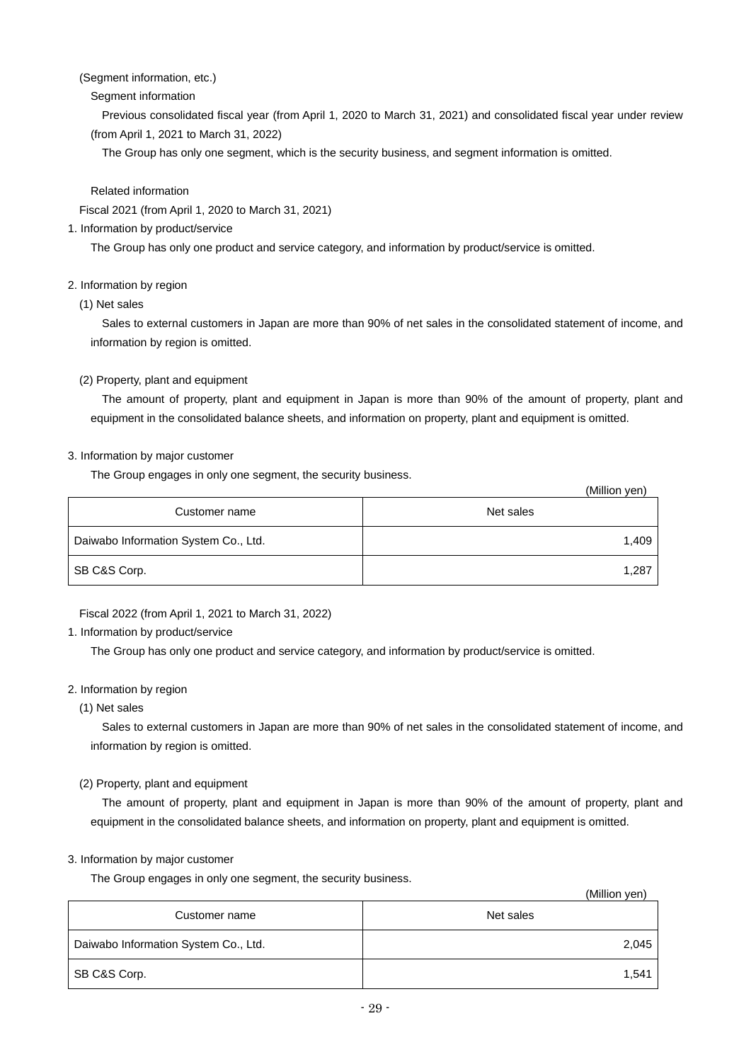## (Segment information, etc.)

## Segment information

Previous consolidated fiscal year (from April 1, 2020 to March 31, 2021) and consolidated fiscal year under review (from April 1, 2021 to March 31, 2022)

The Group has only one segment, which is the security business, and segment information is omitted.

## Related information

Fiscal 2021 (from April 1, 2020 to March 31, 2021)

## 1. Information by product/service

The Group has only one product and service category, and information by product/service is omitted.

## 2. Information by region

(1) Net sales

Sales to external customers in Japan are more than 90% of net sales in the consolidated statement of income, and information by region is omitted.

## (2) Property, plant and equipment

The amount of property, plant and equipment in Japan is more than 90% of the amount of property, plant and equipment in the consolidated balance sheets, and information on property, plant and equipment is omitted.

## 3. Information by major customer

The Group engages in only one segment, the security business.

|                                      | (Million yen) |
|--------------------------------------|---------------|
| Customer name                        | Net sales     |
| Daiwabo Information System Co., Ltd. | 1,409         |
| SB C&S Corp.                         | 1,287         |

Fiscal 2022 (from April 1, 2021 to March 31, 2022)

## 1. Information by product/service

The Group has only one product and service category, and information by product/service is omitted.

## 2. Information by region

(1) Net sales

Sales to external customers in Japan are more than 90% of net sales in the consolidated statement of income, and information by region is omitted.

## (2) Property, plant and equipment

The amount of property, plant and equipment in Japan is more than 90% of the amount of property, plant and equipment in the consolidated balance sheets, and information on property, plant and equipment is omitted.

## 3. Information by major customer

The Group engages in only one segment, the security business.

|                                      | (Million yen) |
|--------------------------------------|---------------|
| Customer name                        | Net sales     |
| Daiwabo Information System Co., Ltd. | 2,045         |
| SB C&S Corp.                         | 1,541         |